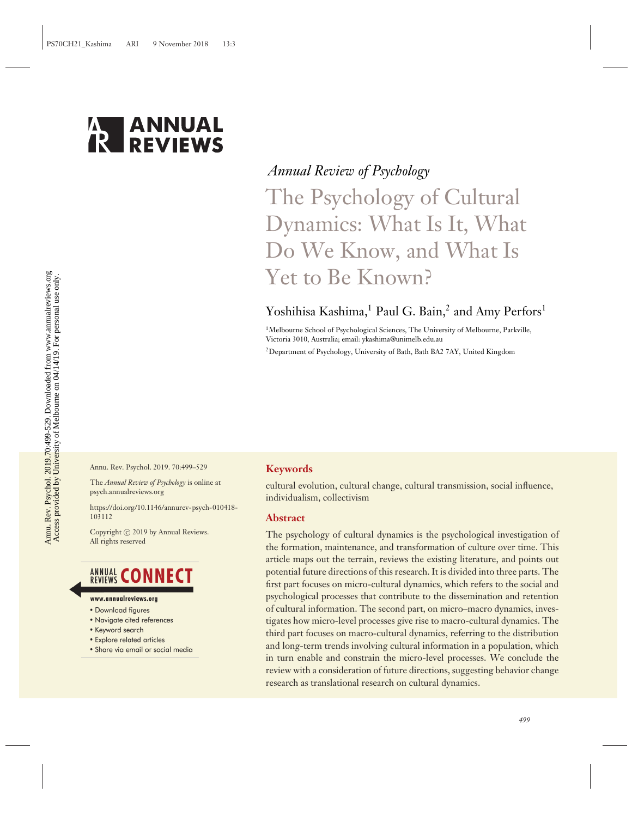

# *Annual Review of Psychology* The Psychology of Cultural Dynamics: What Is It, What Do We Know, and What Is Yet to Be Known?

## Yoshihisa Kashima,<sup>1</sup> Paul G. Bain,<sup>2</sup> and Amy Perfors<sup>1</sup>

<sup>1</sup>Melbourne School of Psychological Sciences, The University of Melbourne, Parkville, Victoria 3010, Australia; email: ykashima@unimelb.edu.au

2Department of Psychology, University of Bath, Bath BA2 7AY, United Kingdom

Annu. Rev. Psychol. 2019. 70:499–529

The *Annual Review of Psychology* is online at psych.annualreviews.org

[https://doi.org/10.1146/annurev-psych-010418-](https://doi.org/10.1146/annurev-psych-010418-103112) [103112](https://doi.org/10.1146/annurev-psych-010418-103112)

Copyright © 2019 by Annual Reviews. All rights reserved

## **ANNUAL CONNECT**

#### www.annualreviews.org

- · Download figures
- Navigate cited references
- Keyword search
- · Explore related articles
- · Share via email or social media

#### **Keywords**

cultural evolution, cultural change, cultural transmission, social influence, individualism, collectivism

#### **Abstract**

The psychology of cultural dynamics is the psychological investigation of the formation, maintenance, and transformation of culture over time. This article maps out the terrain, reviews the existing literature, and points out potential future directions of this research. It is divided into three parts. The first part focuses on micro-cultural dynamics, which refers to the social and psychological processes that contribute to the dissemination and retention of cultural information. The second part, on micro–macro dynamics, investigates how micro-level processes give rise to macro-cultural dynamics. The third part focuses on macro-cultural dynamics, referring to the distribution and long-term trends involving cultural information in a population, which in turn enable and constrain the micro-level processes. We conclude the review with a consideration of future directions, suggesting behavior change research as translational research on cultural dynamics.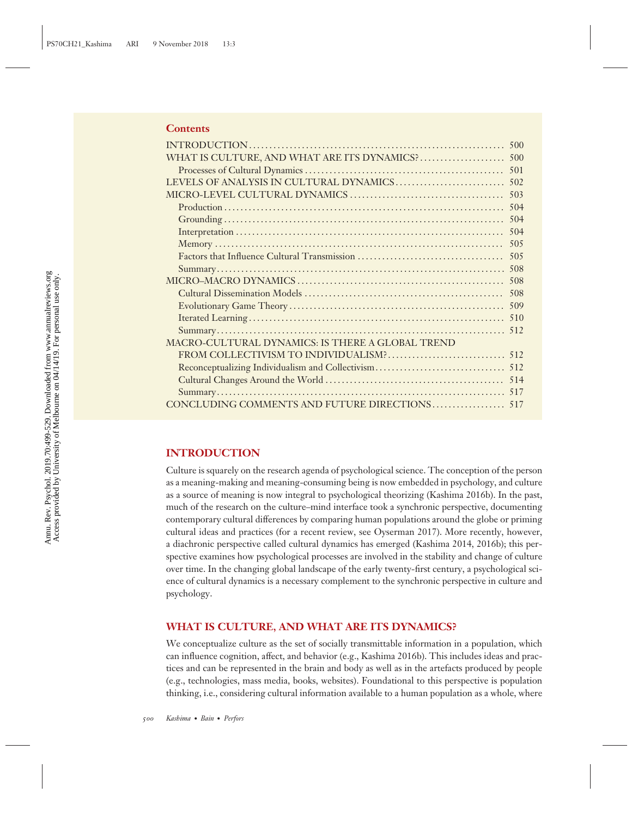## **Contents**

| 502 |
|-----|
| 503 |
| 504 |
| 504 |
| 504 |
| 505 |
| 505 |
| 508 |
| 508 |
| 508 |
|     |
| 510 |
|     |
|     |
|     |
|     |
|     |
|     |
|     |
|     |

## **INTRODUCTION**

Culture is squarely on the research agenda of psychological science. The conception of the person as a meaning-making and meaning-consuming being is now embedded in psychology, and culture as a source of meaning is now integral to psychological theorizing (Kashima 2016b). In the past, much of the research on the culture–mind interface took a synchronic perspective, documenting contemporary cultural differences by comparing human populations around the globe or priming cultural ideas and practices (for a recent review, see Oyserman 2017). More recently, however, a diachronic perspective called cultural dynamics has emerged (Kashima 2014, 2016b); this perspective examines how psychological processes are involved in the stability and change of culture over time. In the changing global landscape of the early twenty-first century, a psychological science of cultural dynamics is a necessary complement to the synchronic perspective in culture and psychology.

## **WHAT IS CULTURE, AND WHAT ARE ITS DYNAMICS?**

We conceptualize culture as the set of socially transmittable information in a population, which can influence cognition, affect, and behavior (e.g., Kashima 2016b). This includes ideas and practices and can be represented in the brain and body as well as in the artefacts produced by people (e.g., technologies, mass media, books, websites). Foundational to this perspective is population thinking, i.e., considering cultural information available to a human population as a whole, where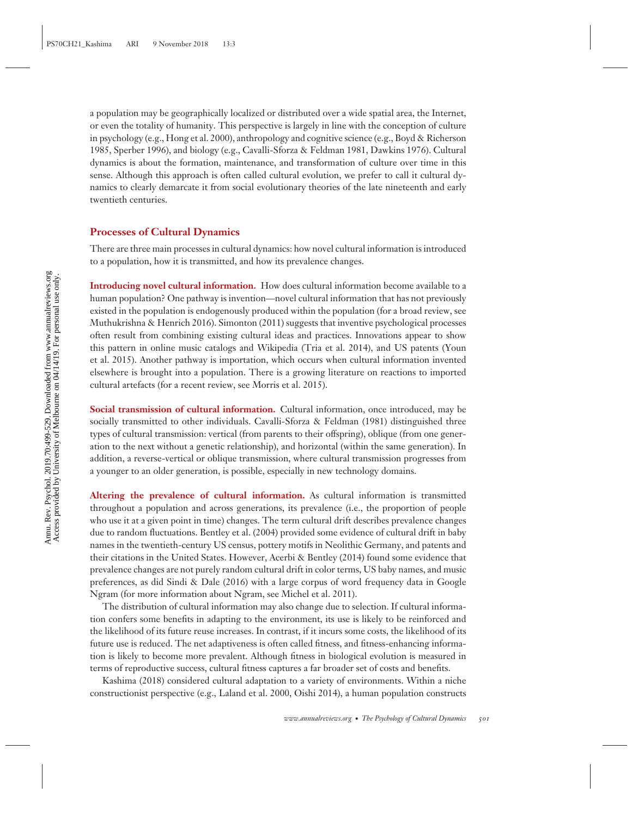a population may be geographically localized or distributed over a wide spatial area, the Internet, or even the totality of humanity. This perspective is largely in line with the conception of culture in psychology (e.g., Hong et al. 2000), anthropology and cognitive science (e.g., Boyd & Richerson 1985, Sperber 1996), and biology (e.g., Cavalli-Sforza & Feldman 1981, Dawkins 1976). Cultural dynamics is about the formation, maintenance, and transformation of culture over time in this sense. Although this approach is often called cultural evolution, we prefer to call it cultural dynamics to clearly demarcate it from social evolutionary theories of the late nineteenth and early twentieth centuries.

## **Processes of Cultural Dynamics**

There are three main processes in cultural dynamics: how novel cultural information is introduced to a population, how it is transmitted, and how its prevalence changes.

**Introducing novel cultural information.** How does cultural information become available to a human population? One pathway is invention—novel cultural information that has not previously existed in the population is endogenously produced within the population (for a broad review, see Muthukrishna & Henrich 2016). Simonton (2011) suggests that inventive psychological processes often result from combining existing cultural ideas and practices. Innovations appear to show this pattern in online music catalogs and Wikipedia (Tria et al. 2014), and US patents (Youn et al. 2015). Another pathway is importation, which occurs when cultural information invented elsewhere is brought into a population. There is a growing literature on reactions to imported cultural artefacts (for a recent review, see Morris et al. 2015).

**Social transmission of cultural information.** Cultural information, once introduced, may be socially transmitted to other individuals. Cavalli-Sforza & Feldman (1981) distinguished three types of cultural transmission: vertical (from parents to their offspring), oblique (from one generation to the next without a genetic relationship), and horizontal (within the same generation). In addition, a reverse-vertical or oblique transmission, where cultural transmission progresses from a younger to an older generation, is possible, especially in new technology domains.

**Altering the prevalence of cultural information.** As cultural information is transmitted throughout a population and across generations, its prevalence (i.e., the proportion of people who use it at a given point in time) changes. The term cultural drift describes prevalence changes due to random fluctuations. Bentley et al. (2004) provided some evidence of cultural drift in baby names in the twentieth-century US census, pottery motifs in Neolithic Germany, and patents and their citations in the United States. However, Acerbi & Bentley (2014) found some evidence that prevalence changes are not purely random cultural drift in color terms, US baby names, and music preferences, as did Sindi & Dale (2016) with a large corpus of word frequency data in Google Ngram (for more information about Ngram, see Michel et al. 2011).

The distribution of cultural information may also change due to selection. If cultural information confers some benefits in adapting to the environment, its use is likely to be reinforced and the likelihood of its future reuse increases. In contrast, if it incurs some costs, the likelihood of its future use is reduced. The net adaptiveness is often called fitness, and fitness-enhancing information is likely to become more prevalent. Although fitness in biological evolution is measured in terms of reproductive success, cultural fitness captures a far broader set of costs and benefits.

Kashima (2018) considered cultural adaptation to a variety of environments. Within a niche constructionist perspective (e.g., Laland et al. 2000, Oishi 2014), a human population constructs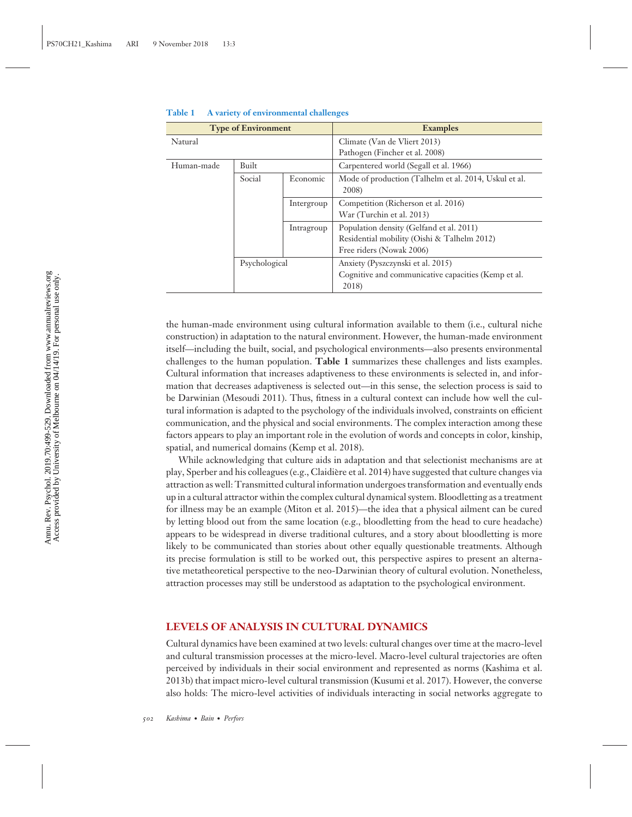| <b>Type of Environment</b> |               |            | <b>Examples</b>                                                                                                     |
|----------------------------|---------------|------------|---------------------------------------------------------------------------------------------------------------------|
| Natural                    |               |            | Climate (Van de Vliert 2013)                                                                                        |
|                            |               |            | Pathogen (Fincher et al. 2008)                                                                                      |
| Human-made                 | <b>Built</b>  |            | Carpentered world (Segall et al. 1966)                                                                              |
|                            | Social        | Economic   | Mode of production (Talhelm et al. 2014, Uskul et al.<br>2008)                                                      |
|                            |               | Intergroup | Competition (Richerson et al. 2016)<br>War (Turchin et al. 2013)                                                    |
|                            |               | Intragroup | Population density (Gelfand et al. 2011)<br>Residential mobility (Oishi & Talhelm 2012)<br>Free riders (Nowak 2006) |
|                            | Psychological |            | Anxiety (Pyszczynski et al. 2015)<br>Cognitive and communicative capacities (Kemp et al.<br>2018)                   |

**Table 1 A variety of environmental challenges**

the human-made environment using cultural information available to them (i.e., cultural niche construction) in adaptation to the natural environment. However, the human-made environment itself—including the built, social, and psychological environments—also presents environmental challenges to the human population. **Table 1** summarizes these challenges and lists examples. Cultural information that increases adaptiveness to these environments is selected in, and information that decreases adaptiveness is selected out—in this sense, the selection process is said to be Darwinian (Mesoudi 2011). Thus, fitness in a cultural context can include how well the cultural information is adapted to the psychology of the individuals involved, constraints on efficient communication, and the physical and social environments. The complex interaction among these factors appears to play an important role in the evolution of words and concepts in color, kinship, spatial, and numerical domains (Kemp et al. 2018).

While acknowledging that culture aids in adaptation and that selectionist mechanisms are at play, Sperber and his colleagues (e.g., Claidiere et al. 2014) have suggested that culture changes via ` attraction as well: Transmitted cultural information undergoes transformation and eventually ends up in a cultural attractor within the complex cultural dynamical system. Bloodletting as a treatment for illness may be an example (Miton et al. 2015)—the idea that a physical ailment can be cured by letting blood out from the same location (e.g., bloodletting from the head to cure headache) appears to be widespread in diverse traditional cultures, and a story about bloodletting is more likely to be communicated than stories about other equally questionable treatments. Although its precise formulation is still to be worked out, this perspective aspires to present an alternative metatheoretical perspective to the neo-Darwinian theory of cultural evolution. Nonetheless, attraction processes may still be understood as adaptation to the psychological environment.

### **LEVELS OF ANALYSIS IN CULTURAL DYNAMICS**

Cultural dynamics have been examined at two levels: cultural changes over time at the macro-level and cultural transmission processes at the micro-level. Macro-level cultural trajectories are often perceived by individuals in their social environment and represented as norms (Kashima et al. 2013b) that impact micro-level cultural transmission (Kusumi et al. 2017). However, the converse also holds: The micro-level activities of individuals interacting in social networks aggregate to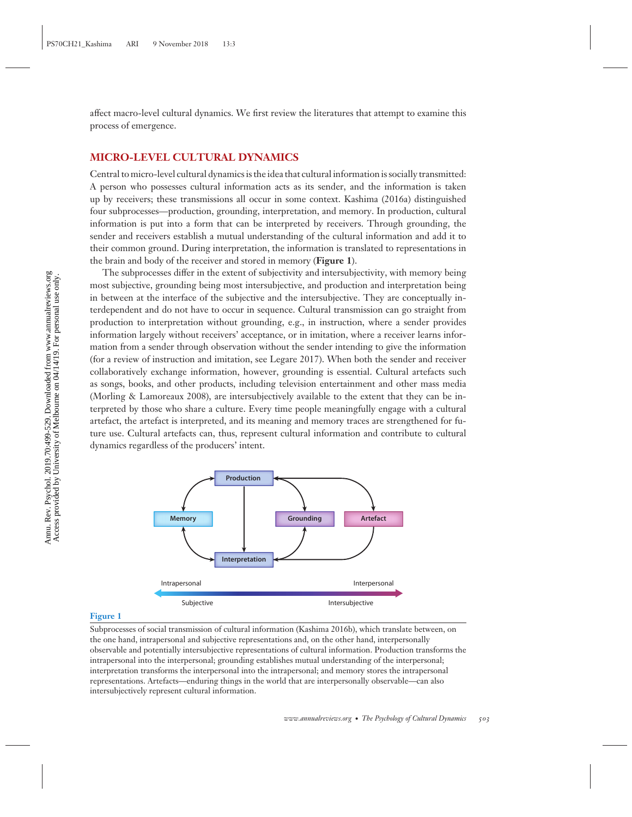affect macro-level cultural dynamics. We first review the literatures that attempt to examine this process of emergence.

## **MICRO-LEVEL CULTURAL DYNAMICS**

Central to micro-level cultural dynamics is the idea that cultural information is socially transmitted: A person who possesses cultural information acts as its sender, and the information is taken up by receivers; these transmissions all occur in some context. Kashima (2016a) distinguished four subprocesses—production, grounding, interpretation, and memory. In production, cultural information is put into a form that can be interpreted by receivers. Through grounding, the sender and receivers establish a mutual understanding of the cultural information and add it to their common ground. During interpretation, the information is translated to representations in the brain and body of the receiver and stored in memory (**Figure 1**).

The subprocesses differ in the extent of subjectivity and intersubjectivity, with memory being most subjective, grounding being most intersubjective, and production and interpretation being in between at the interface of the subjective and the intersubjective. They are conceptually interdependent and do not have to occur in sequence. Cultural transmission can go straight from production to interpretation without grounding, e.g., in instruction, where a sender provides information largely without receivers' acceptance, or in imitation, where a receiver learns information from a sender through observation without the sender intending to give the information (for a review of instruction and imitation, see Legare 2017). When both the sender and receiver collaboratively exchange information, however, grounding is essential. Cultural artefacts such as songs, books, and other products, including television entertainment and other mass media (Morling & Lamoreaux 2008), are intersubjectively available to the extent that they can be interpreted by those who share a culture. Every time people meaningfully engage with a cultural artefact, the artefact is interpreted, and its meaning and memory traces are strengthened for future use. Cultural artefacts can, thus, represent cultural information and contribute to cultural dynamics regardless of the producers' intent.



#### **Figure 1**

Subprocesses of social transmission of cultural information (Kashima 2016b), which translate between, on the one hand, intrapersonal and subjective representations and, on the other hand, interpersonally observable and potentially intersubjective representations of cultural information. Production transforms the intrapersonal into the interpersonal; grounding establishes mutual understanding of the interpersonal; interpretation transforms the interpersonal into the intrapersonal; and memory stores the intrapersonal representations. Artefacts—enduring things in the world that are interpersonally observable—can also intersubjectively represent cultural information.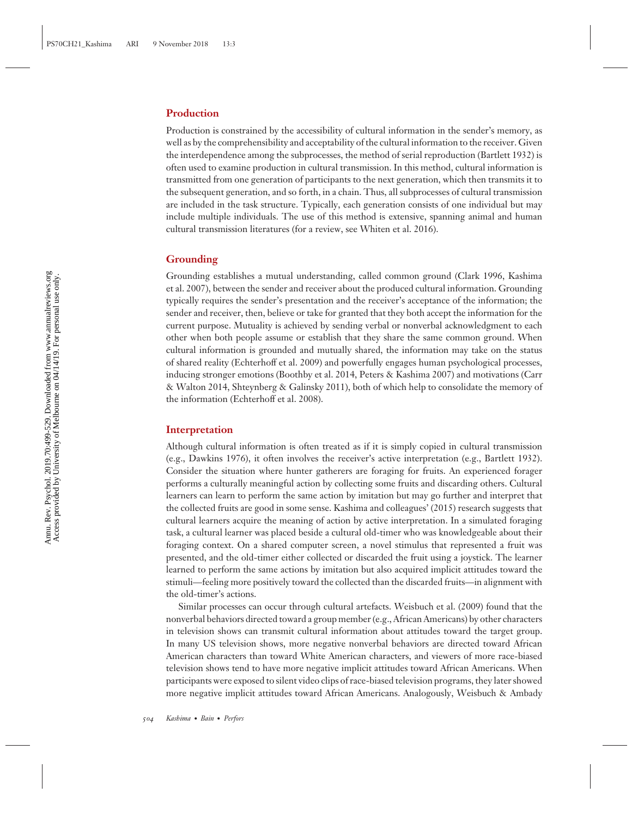## **Production**

Production is constrained by the accessibility of cultural information in the sender's memory, as well as by the comprehensibility and acceptability of the cultural information to the receiver. Given the interdependence among the subprocesses, the method of serial reproduction (Bartlett 1932) is often used to examine production in cultural transmission. In this method, cultural information is transmitted from one generation of participants to the next generation, which then transmits it to the subsequent generation, and so forth, in a chain. Thus, all subprocesses of cultural transmission are included in the task structure. Typically, each generation consists of one individual but may include multiple individuals. The use of this method is extensive, spanning animal and human cultural transmission literatures (for a review, see Whiten et al. 2016).

## **Grounding**

Grounding establishes a mutual understanding, called common ground (Clark 1996, Kashima et al. 2007), between the sender and receiver about the produced cultural information. Grounding typically requires the sender's presentation and the receiver's acceptance of the information; the sender and receiver, then, believe or take for granted that they both accept the information for the current purpose. Mutuality is achieved by sending verbal or nonverbal acknowledgment to each other when both people assume or establish that they share the same common ground. When cultural information is grounded and mutually shared, the information may take on the status of shared reality (Echterhoff et al. 2009) and powerfully engages human psychological processes, inducing stronger emotions (Boothby et al. 2014, Peters & Kashima 2007) and motivations (Carr & Walton 2014, Shteynberg & Galinsky 2011), both of which help to consolidate the memory of the information (Echterhoff et al. 2008).

#### **Interpretation**

Although cultural information is often treated as if it is simply copied in cultural transmission (e.g., Dawkins 1976), it often involves the receiver's active interpretation (e.g., Bartlett 1932). Consider the situation where hunter gatherers are foraging for fruits. An experienced forager performs a culturally meaningful action by collecting some fruits and discarding others. Cultural learners can learn to perform the same action by imitation but may go further and interpret that the collected fruits are good in some sense. Kashima and colleagues' (2015) research suggests that cultural learners acquire the meaning of action by active interpretation. In a simulated foraging task, a cultural learner was placed beside a cultural old-timer who was knowledgeable about their foraging context. On a shared computer screen, a novel stimulus that represented a fruit was presented, and the old-timer either collected or discarded the fruit using a joystick. The learner learned to perform the same actions by imitation but also acquired implicit attitudes toward the stimuli—feeling more positively toward the collected than the discarded fruits—in alignment with the old-timer's actions.

Similar processes can occur through cultural artefacts. Weisbuch et al. (2009) found that the nonverbal behaviors directed toward a group member (e.g., African Americans) by other characters in television shows can transmit cultural information about attitudes toward the target group. In many US television shows, more negative nonverbal behaviors are directed toward African American characters than toward White American characters, and viewers of more race-biased television shows tend to have more negative implicit attitudes toward African Americans. When participants were exposed to silent video clips of race-biased television programs, they later showed more negative implicit attitudes toward African Americans. Analogously, Weisbuch & Ambady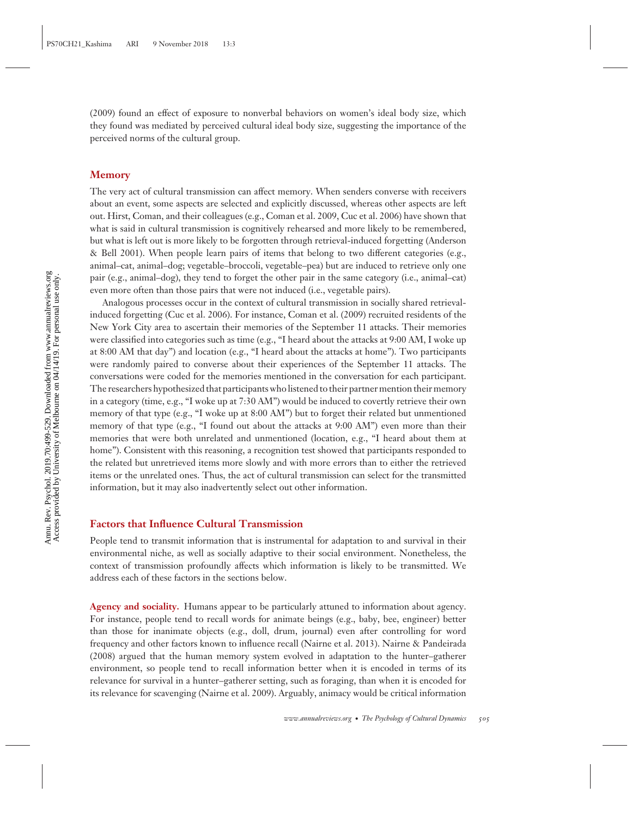(2009) found an effect of exposure to nonverbal behaviors on women's ideal body size, which they found was mediated by perceived cultural ideal body size, suggesting the importance of the perceived norms of the cultural group.

#### **Memory**

The very act of cultural transmission can affect memory. When senders converse with receivers about an event, some aspects are selected and explicitly discussed, whereas other aspects are left out. Hirst, Coman, and their colleagues (e.g., Coman et al. 2009, Cuc et al. 2006) have shown that what is said in cultural transmission is cognitively rehearsed and more likely to be remembered, but what is left out is more likely to be forgotten through retrieval-induced forgetting (Anderson & Bell 2001). When people learn pairs of items that belong to two different categories (e.g., animal–cat, animal–dog; vegetable–broccoli, vegetable–pea) but are induced to retrieve only one pair (e.g., animal–dog), they tend to forget the other pair in the same category (i.e., animal–cat) even more often than those pairs that were not induced (i.e., vegetable pairs).

Analogous processes occur in the context of cultural transmission in socially shared retrievalinduced forgetting (Cuc et al. 2006). For instance, Coman et al. (2009) recruited residents of the New York City area to ascertain their memories of the September 11 attacks. Their memories were classified into categories such as time (e.g., "I heard about the attacks at 9:00 AM, I woke up at 8:00 AM that day") and location (e.g., "I heard about the attacks at home"). Two participants were randomly paired to converse about their experiences of the September 11 attacks. The conversations were coded for the memories mentioned in the conversation for each participant. The researchers hypothesized that participants who listened to their partner mention their memory in a category (time, e.g., "I woke up at 7:30 AM") would be induced to covertly retrieve their own memory of that type (e.g., "I woke up at 8:00 AM") but to forget their related but unmentioned memory of that type (e.g., "I found out about the attacks at 9:00 AM") even more than their memories that were both unrelated and unmentioned (location, e.g., "I heard about them at home"). Consistent with this reasoning, a recognition test showed that participants responded to the related but unretrieved items more slowly and with more errors than to either the retrieved items or the unrelated ones. Thus, the act of cultural transmission can select for the transmitted information, but it may also inadvertently select out other information.

## **Factors that Influence Cultural Transmission**

People tend to transmit information that is instrumental for adaptation to and survival in their environmental niche, as well as socially adaptive to their social environment. Nonetheless, the context of transmission profoundly affects which information is likely to be transmitted. We address each of these factors in the sections below.

**Agency and sociality.** Humans appear to be particularly attuned to information about agency. For instance, people tend to recall words for animate beings (e.g., baby, bee, engineer) better than those for inanimate objects (e.g., doll, drum, journal) even after controlling for word frequency and other factors known to influence recall (Nairne et al. 2013). Nairne & Pandeirada (2008) argued that the human memory system evolved in adaptation to the hunter–gatherer environment, so people tend to recall information better when it is encoded in terms of its relevance for survival in a hunter–gatherer setting, such as foraging, than when it is encoded for its relevance for scavenging (Nairne et al. 2009). Arguably, animacy would be critical information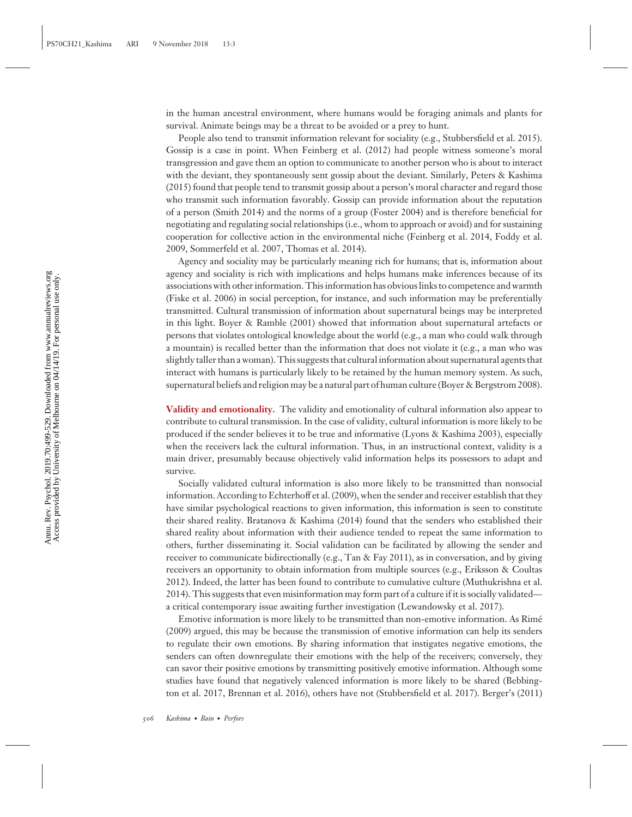in the human ancestral environment, where humans would be foraging animals and plants for survival. Animate beings may be a threat to be avoided or a prey to hunt.

People also tend to transmit information relevant for sociality (e.g., Stubbersfield et al. 2015). Gossip is a case in point. When Feinberg et al. (2012) had people witness someone's moral transgression and gave them an option to communicate to another person who is about to interact with the deviant, they spontaneously sent gossip about the deviant. Similarly, Peters & Kashima (2015) found that people tend to transmit gossip about a person's moral character and regard those who transmit such information favorably. Gossip can provide information about the reputation of a person (Smith 2014) and the norms of a group (Foster 2004) and is therefore beneficial for negotiating and regulating social relationships (i.e., whom to approach or avoid) and for sustaining cooperation for collective action in the environmental niche (Feinberg et al. 2014, Foddy et al. 2009, Sommerfeld et al. 2007, Thomas et al. 2014).

Agency and sociality may be particularly meaning rich for humans; that is, information about agency and sociality is rich with implications and helps humans make inferences because of its associations with other information. This information has obvious links to competence and warmth (Fiske et al. 2006) in social perception, for instance, and such information may be preferentially transmitted. Cultural transmission of information about supernatural beings may be interpreted in this light. Boyer & Ramble (2001) showed that information about supernatural artefacts or persons that violates ontological knowledge about the world (e.g., a man who could walk through a mountain) is recalled better than the information that does not violate it (e.g., a man who was slightly taller than a woman). This suggests that cultural information about supernatural agents that interact with humans is particularly likely to be retained by the human memory system. As such, supernatural beliefs and religion may be a natural part of human culture (Boyer & Bergstrom 2008).

**Validity and emotionality.** The validity and emotionality of cultural information also appear to contribute to cultural transmission. In the case of validity, cultural information is more likely to be produced if the sender believes it to be true and informative (Lyons & Kashima 2003), especially when the receivers lack the cultural information. Thus, in an instructional context, validity is a main driver, presumably because objectively valid information helps its possessors to adapt and survive.

Socially validated cultural information is also more likely to be transmitted than nonsocial information. According to Echterhoff et al. (2009), when the sender and receiver establish that they have similar psychological reactions to given information, this information is seen to constitute their shared reality. Bratanova & Kashima (2014) found that the senders who established their shared reality about information with their audience tended to repeat the same information to others, further disseminating it. Social validation can be facilitated by allowing the sender and receiver to communicate bidirectionally (e.g., Tan & Fay 2011), as in conversation, and by giving receivers an opportunity to obtain information from multiple sources (e.g., Eriksson & Coultas 2012). Indeed, the latter has been found to contribute to cumulative culture (Muthukrishna et al. 2014). This suggests that even misinformation may form part of a culture if it is socially validated a critical contemporary issue awaiting further investigation (Lewandowsky et al. 2017).

Emotive information is more likely to be transmitted than non-emotive information. As Rime´ (2009) argued, this may be because the transmission of emotive information can help its senders to regulate their own emotions. By sharing information that instigates negative emotions, the senders can often downregulate their emotions with the help of the receivers; conversely, they can savor their positive emotions by transmitting positively emotive information. Although some studies have found that negatively valenced information is more likely to be shared (Bebbington et al. 2017, Brennan et al. 2016), others have not (Stubbersfield et al. 2017). Berger's (2011)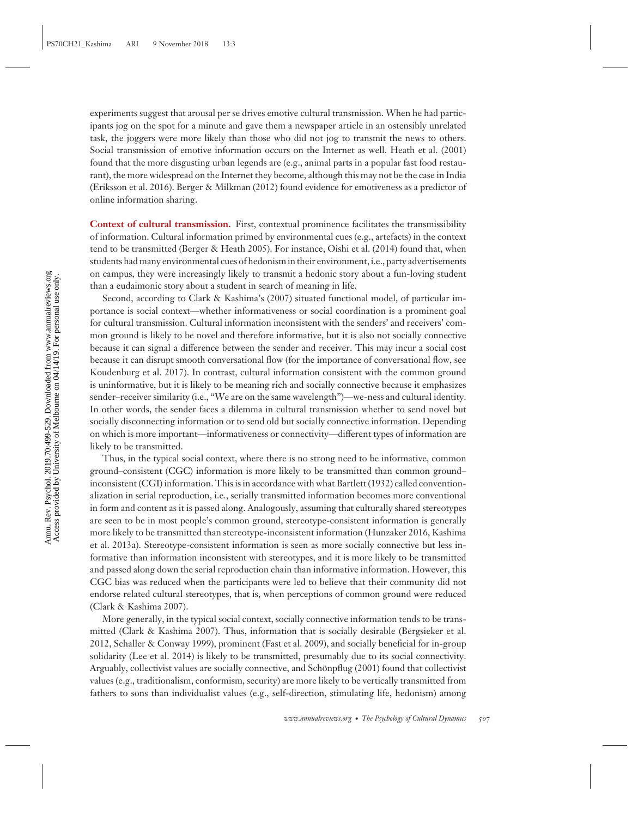experiments suggest that arousal per se drives emotive cultural transmission. When he had participants jog on the spot for a minute and gave them a newspaper article in an ostensibly unrelated task, the joggers were more likely than those who did not jog to transmit the news to others. Social transmission of emotive information occurs on the Internet as well. Heath et al. (2001) found that the more disgusting urban legends are (e.g., animal parts in a popular fast food restaurant), the more widespread on the Internet they become, although this may not be the case in India (Eriksson et al. 2016). Berger & Milkman (2012) found evidence for emotiveness as a predictor of online information sharing.

**Context of cultural transmission.** First, contextual prominence facilitates the transmissibility of information. Cultural information primed by environmental cues (e.g., artefacts) in the context tend to be transmitted (Berger & Heath 2005). For instance, Oishi et al. (2014) found that, when students had many environmental cues of hedonism in their environment, i.e., party advertisements on campus, they were increasingly likely to transmit a hedonic story about a fun-loving student than a eudaimonic story about a student in search of meaning in life.

Second, according to Clark & Kashima's (2007) situated functional model, of particular importance is social context—whether informativeness or social coordination is a prominent goal for cultural transmission. Cultural information inconsistent with the senders' and receivers' common ground is likely to be novel and therefore informative, but it is also not socially connective because it can signal a difference between the sender and receiver. This may incur a social cost because it can disrupt smooth conversational flow (for the importance of conversational flow, see Koudenburg et al. 2017). In contrast, cultural information consistent with the common ground is uninformative, but it is likely to be meaning rich and socially connective because it emphasizes sender–receiver similarity (i.e., "We are on the same wavelength")—we-ness and cultural identity. In other words, the sender faces a dilemma in cultural transmission whether to send novel but socially disconnecting information or to send old but socially connective information. Depending on which is more important—informativeness or connectivity—different types of information are likely to be transmitted.

Thus, in the typical social context, where there is no strong need to be informative, common ground–consistent (CGC) information is more likely to be transmitted than common ground– inconsistent (CGI) information. This is in accordance with what Bartlett (1932) called conventionalization in serial reproduction, i.e., serially transmitted information becomes more conventional in form and content as it is passed along. Analogously, assuming that culturally shared stereotypes are seen to be in most people's common ground, stereotype-consistent information is generally more likely to be transmitted than stereotype-inconsistent information (Hunzaker 2016, Kashima et al. 2013a). Stereotype-consistent information is seen as more socially connective but less informative than information inconsistent with stereotypes, and it is more likely to be transmitted and passed along down the serial reproduction chain than informative information. However, this CGC bias was reduced when the participants were led to believe that their community did not endorse related cultural stereotypes, that is, when perceptions of common ground were reduced (Clark & Kashima 2007).

More generally, in the typical social context, socially connective information tends to be transmitted (Clark & Kashima 2007). Thus, information that is socially desirable (Bergsieker et al. 2012, Schaller & Conway 1999), prominent (Fast et al. 2009), and socially beneficial for in-group solidarity (Lee et al. 2014) is likely to be transmitted, presumably due to its social connectivity. Arguably, collectivist values are socially connective, and Schönpflug (2001) found that collectivist values (e.g., traditionalism, conformism, security) are more likely to be vertically transmitted from fathers to sons than individualist values (e.g., self-direction, stimulating life, hedonism) among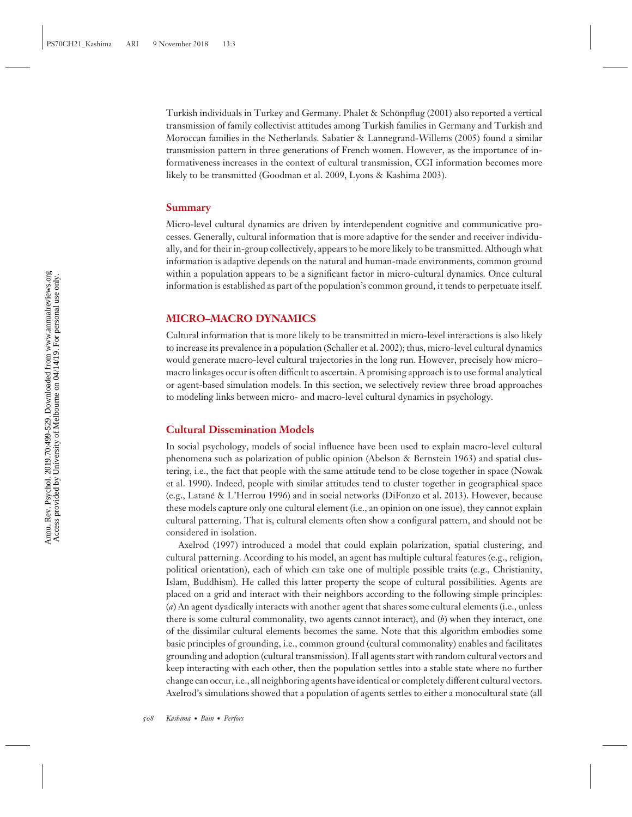Turkish individuals in Turkey and Germany. Phalet & Schonpflug (2001) also reported a vertical ¨ transmission of family collectivist attitudes among Turkish families in Germany and Turkish and Moroccan families in the Netherlands. Sabatier & Lannegrand-Willems (2005) found a similar transmission pattern in three generations of French women. However, as the importance of informativeness increases in the context of cultural transmission, CGI information becomes more likely to be transmitted (Goodman et al. 2009, Lyons & Kashima 2003).

#### **Summary**

Micro-level cultural dynamics are driven by interdependent cognitive and communicative processes. Generally, cultural information that is more adaptive for the sender and receiver individually, and for their in-group collectively, appears to be more likely to be transmitted. Although what information is adaptive depends on the natural and human-made environments, common ground within a population appears to be a significant factor in micro-cultural dynamics. Once cultural information is established as part of the population's common ground, it tends to perpetuate itself.

## **MICRO–MACRO DYNAMICS**

Cultural information that is more likely to be transmitted in micro-level interactions is also likely to increase its prevalence in a population (Schaller et al. 2002); thus, micro-level cultural dynamics would generate macro-level cultural trajectories in the long run. However, precisely how micro– macro linkages occur is often difficult to ascertain. A promising approach is to use formal analytical or agent-based simulation models. In this section, we selectively review three broad approaches to modeling links between micro- and macro-level cultural dynamics in psychology.

## **Cultural Dissemination Models**

In social psychology, models of social influence have been used to explain macro-level cultural phenomena such as polarization of public opinion (Abelson & Bernstein 1963) and spatial clustering, i.e., the fact that people with the same attitude tend to be close together in space (Nowak et al. 1990). Indeed, people with similar attitudes tend to cluster together in geographical space (e.g., Latane & L'Herrou 1996) and in social networks (DiFonzo et al. 2013). However, because ´ these models capture only one cultural element (i.e., an opinion on one issue), they cannot explain cultural patterning. That is, cultural elements often show a configural pattern, and should not be considered in isolation.

Axelrod (1997) introduced a model that could explain polarization, spatial clustering, and cultural patterning. According to his model, an agent has multiple cultural features (e.g., religion, political orientation), each of which can take one of multiple possible traits (e.g., Christianity, Islam, Buddhism). He called this latter property the scope of cultural possibilities. Agents are placed on a grid and interact with their neighbors according to the following simple principles: (*a*) An agent dyadically interacts with another agent that shares some cultural elements (i.e., unless there is some cultural commonality, two agents cannot interact), and (*b*) when they interact, one of the dissimilar cultural elements becomes the same. Note that this algorithm embodies some basic principles of grounding, i.e., common ground (cultural commonality) enables and facilitates grounding and adoption (cultural transmission). If all agents start with random cultural vectors and keep interacting with each other, then the population settles into a stable state where no further change can occur, i.e., all neighboring agents have identical or completely different cultural vectors. Axelrod's simulations showed that a population of agents settles to either a monocultural state (all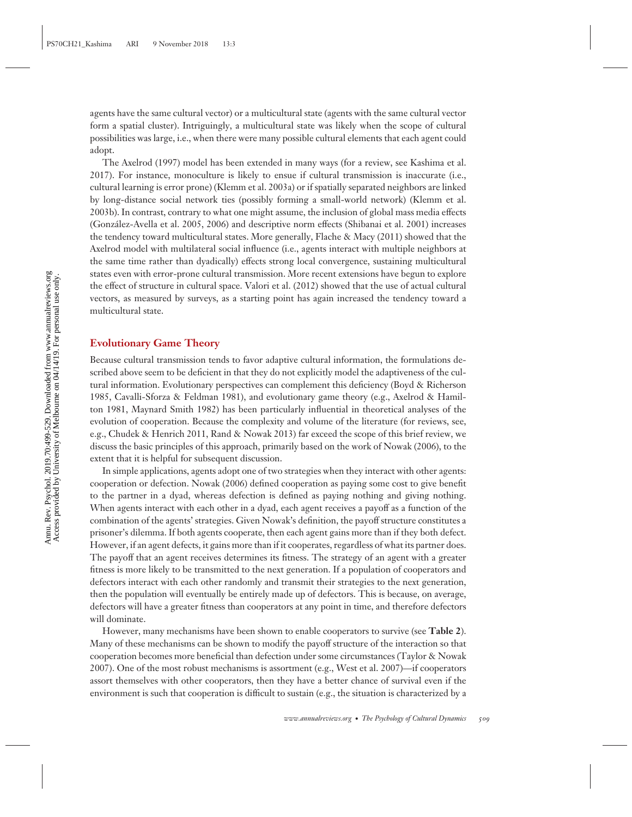agents have the same cultural vector) or a multicultural state (agents with the same cultural vector form a spatial cluster). Intriguingly, a multicultural state was likely when the scope of cultural possibilities was large, i.e., when there were many possible cultural elements that each agent could adopt.

The Axelrod (1997) model has been extended in many ways (for a review, see Kashima et al. 2017). For instance, monoculture is likely to ensue if cultural transmission is inaccurate (i.e., cultural learning is error prone) (Klemm et al. 2003a) or if spatially separated neighbors are linked by long-distance social network ties (possibly forming a small-world network) (Klemm et al. 2003b). In contrast, contrary to what one might assume, the inclusion of global mass media effects (Gonzalez-Avella et al. 2005, 2006) and descriptive norm effects (Shibanai et al. 2001) increases ´ the tendency toward multicultural states. More generally, Flache & Macy (2011) showed that the Axelrod model with multilateral social influence (i.e., agents interact with multiple neighbors at the same time rather than dyadically) effects strong local convergence, sustaining multicultural states even with error-prone cultural transmission. More recent extensions have begun to explore the effect of structure in cultural space. Valori et al. (2012) showed that the use of actual cultural vectors, as measured by surveys, as a starting point has again increased the tendency toward a multicultural state.

#### **Evolutionary Game Theory**

Because cultural transmission tends to favor adaptive cultural information, the formulations described above seem to be deficient in that they do not explicitly model the adaptiveness of the cultural information. Evolutionary perspectives can complement this deficiency (Boyd & Richerson 1985, Cavalli-Sforza & Feldman 1981), and evolutionary game theory (e.g., Axelrod & Hamilton 1981, Maynard Smith 1982) has been particularly influential in theoretical analyses of the evolution of cooperation. Because the complexity and volume of the literature (for reviews, see, e.g., Chudek & Henrich 2011, Rand & Nowak 2013) far exceed the scope of this brief review, we discuss the basic principles of this approach, primarily based on the work of Nowak (2006), to the extent that it is helpful for subsequent discussion.

In simple applications, agents adopt one of two strategies when they interact with other agents: cooperation or defection. Nowak (2006) defined cooperation as paying some cost to give benefit to the partner in a dyad, whereas defection is defined as paying nothing and giving nothing. When agents interact with each other in a dyad, each agent receives a payoff as a function of the combination of the agents' strategies. Given Nowak's definition, the payoff structure constitutes a prisoner's dilemma. If both agents cooperate, then each agent gains more than if they both defect. However, if an agent defects, it gains more than if it cooperates, regardless of what its partner does. The payoff that an agent receives determines its fitness. The strategy of an agent with a greater fitness is more likely to be transmitted to the next generation. If a population of cooperators and defectors interact with each other randomly and transmit their strategies to the next generation, then the population will eventually be entirely made up of defectors. This is because, on average, defectors will have a greater fitness than cooperators at any point in time, and therefore defectors will dominate.

However, many mechanisms have been shown to enable cooperators to survive (see **Table 2**). Many of these mechanisms can be shown to modify the payoff structure of the interaction so that cooperation becomes more beneficial than defection under some circumstances (Taylor & Nowak 2007). One of the most robust mechanisms is assortment (e.g., West et al. 2007)—if cooperators assort themselves with other cooperators, then they have a better chance of survival even if the environment is such that cooperation is difficult to sustain (e.g., the situation is characterized by a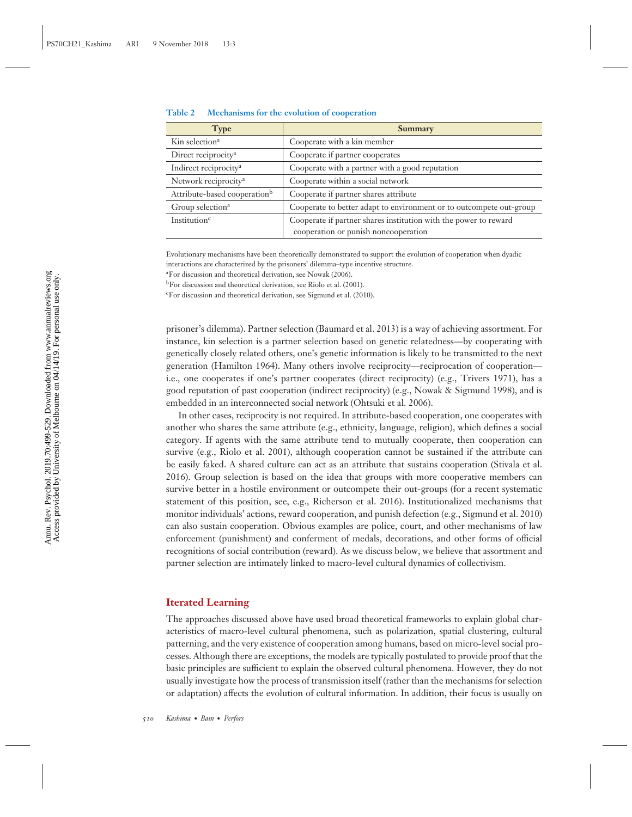| Type                                     | Summary                                                             |
|------------------------------------------|---------------------------------------------------------------------|
| Kin selection <sup>a</sup>               | Cooperate with a kin member                                         |
| Direct reciprocity <sup>a</sup>          | Cooperate if partner cooperates                                     |
| Indirect reciprocity <sup>a</sup>        | Cooperate with a partner with a good reputation                     |
| Network reciprocity <sup>a</sup>         | Cooperate within a social network                                   |
| Attribute-based cooperation <sup>b</sup> | Cooperate if partner shares attribute                               |
| Group selection <sup>a</sup>             | Cooperate to better adapt to environment or to outcompete out-group |
| Institution <sup>c</sup>                 | Cooperate if partner shares institution with the power to reward    |
|                                          | cooperation or punish noncooperation                                |

#### **Table 2 Mechanisms for the evolution of cooperation**

Evolutionary mechanisms have been theoretically demonstrated to support the evolution of cooperation when dyadic interactions are characterized by the prisoners' dilemma–type incentive structure.

<sup>b</sup>For discussion and theoretical derivation, see Riolo et al. (2001).

cFor discussion and theoretical derivation, see Sigmund et al. (2010).

prisoner's dilemma). Partner selection (Baumard et al. 2013) is a way of achieving assortment. For instance, kin selection is a partner selection based on genetic relatedness—by cooperating with genetically closely related others, one's genetic information is likely to be transmitted to the next generation (Hamilton 1964). Many others involve reciprocity—reciprocation of cooperation i.e., one cooperates if one's partner cooperates (direct reciprocity) (e.g., Trivers 1971), has a good reputation of past cooperation (indirect reciprocity) (e.g., Nowak & Sigmund 1998), and is embedded in an interconnected social network (Ohtsuki et al. 2006).

In other cases, reciprocity is not required. In attribute-based cooperation, one cooperates with another who shares the same attribute (e.g., ethnicity, language, religion), which defines a social category. If agents with the same attribute tend to mutually cooperate, then cooperation can survive (e.g., Riolo et al. 2001), although cooperation cannot be sustained if the attribute can be easily faked. A shared culture can act as an attribute that sustains cooperation (Stivala et al. 2016). Group selection is based on the idea that groups with more cooperative members can survive better in a hostile environment or outcompete their out-groups (for a recent systematic statement of this position, see, e.g., Richerson et al. 2016). Institutionalized mechanisms that monitor individuals' actions, reward cooperation, and punish defection (e.g., Sigmund et al. 2010) can also sustain cooperation. Obvious examples are police, court, and other mechanisms of law enforcement (punishment) and conferment of medals, decorations, and other forms of official recognitions of social contribution (reward). As we discuss below, we believe that assortment and partner selection are intimately linked to macro-level cultural dynamics of collectivism.

## **Iterated Learning**

The approaches discussed above have used broad theoretical frameworks to explain global characteristics of macro-level cultural phenomena, such as polarization, spatial clustering, cultural patterning, and the very existence of cooperation among humans, based on micro-level social processes. Although there are exceptions, the models are typically postulated to provide proof that the basic principles are sufficient to explain the observed cultural phenomena. However, they do not usually investigate how the process of transmission itself (rather than the mechanisms for selection or adaptation) affects the evolution of cultural information. In addition, their focus is usually on

aFor discussion and theoretical derivation, see Nowak (2006).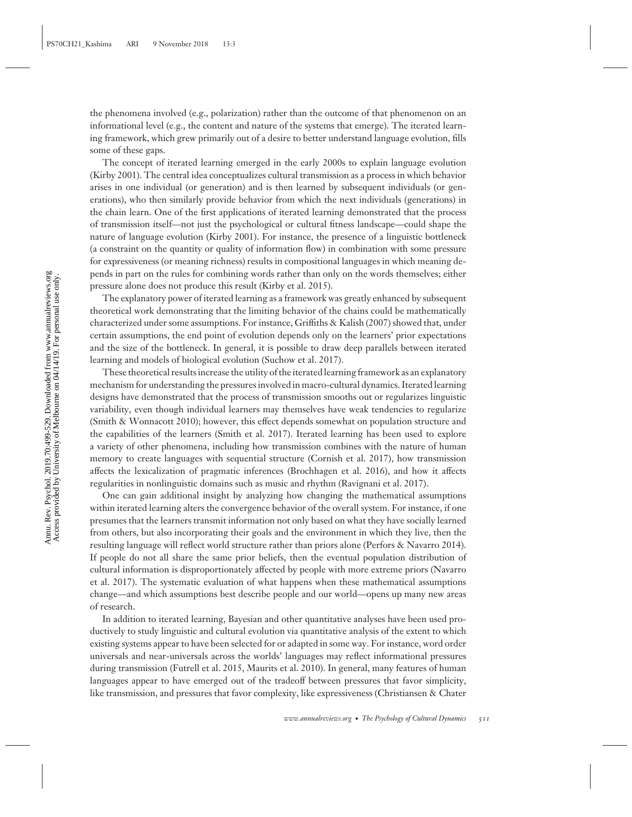the phenomena involved (e.g., polarization) rather than the outcome of that phenomenon on an informational level (e.g., the content and nature of the systems that emerge). The iterated learning framework, which grew primarily out of a desire to better understand language evolution, fills some of these gaps.

The concept of iterated learning emerged in the early 2000s to explain language evolution (Kirby 2001). The central idea conceptualizes cultural transmission as a process in which behavior arises in one individual (or generation) and is then learned by subsequent individuals (or generations), who then similarly provide behavior from which the next individuals (generations) in the chain learn. One of the first applications of iterated learning demonstrated that the process of transmission itself—not just the psychological or cultural fitness landscape—could shape the nature of language evolution (Kirby 2001). For instance, the presence of a linguistic bottleneck (a constraint on the quantity or quality of information flow) in combination with some pressure for expressiveness (or meaning richness) results in compositional languages in which meaning depends in part on the rules for combining words rather than only on the words themselves; either pressure alone does not produce this result (Kirby et al. 2015).

The explanatory power of iterated learning as a framework was greatly enhanced by subsequent theoretical work demonstrating that the limiting behavior of the chains could be mathematically characterized under some assumptions. For instance, Griffiths & Kalish (2007) showed that, under certain assumptions, the end point of evolution depends only on the learners' prior expectations and the size of the bottleneck. In general, it is possible to draw deep parallels between iterated learning and models of biological evolution (Suchow et al. 2017).

These theoretical results increase the utility of the iterated learning framework as an explanatory mechanism for understanding the pressures involved in macro-cultural dynamics. Iterated learning designs have demonstrated that the process of transmission smooths out or regularizes linguistic variability, even though individual learners may themselves have weak tendencies to regularize (Smith & Wonnacott 2010); however, this effect depends somewhat on population structure and the capabilities of the learners (Smith et al. 2017). Iterated learning has been used to explore a variety of other phenomena, including how transmission combines with the nature of human memory to create languages with sequential structure (Cornish et al. 2017), how transmission affects the lexicalization of pragmatic inferences (Brochhagen et al. 2016), and how it affects regularities in nonlinguistic domains such as music and rhythm (Ravignani et al. 2017).

One can gain additional insight by analyzing how changing the mathematical assumptions within iterated learning alters the convergence behavior of the overall system. For instance, if one presumes that the learners transmit information not only based on what they have socially learned from others, but also incorporating their goals and the environment in which they live, then the resulting language will reflect world structure rather than priors alone (Perfors & Navarro 2014). If people do not all share the same prior beliefs, then the eventual population distribution of cultural information is disproportionately affected by people with more extreme priors (Navarro et al. 2017). The systematic evaluation of what happens when these mathematical assumptions change—and which assumptions best describe people and our world—opens up many new areas of research.

In addition to iterated learning, Bayesian and other quantitative analyses have been used productively to study linguistic and cultural evolution via quantitative analysis of the extent to which existing systems appear to have been selected for or adapted in some way. For instance, word order universals and near-universals across the worlds' languages may reflect informational pressures during transmission (Futrell et al. 2015, Maurits et al. 2010). In general, many features of human languages appear to have emerged out of the tradeoff between pressures that favor simplicity, like transmission, and pressures that favor complexity, like expressiveness (Christiansen & Chater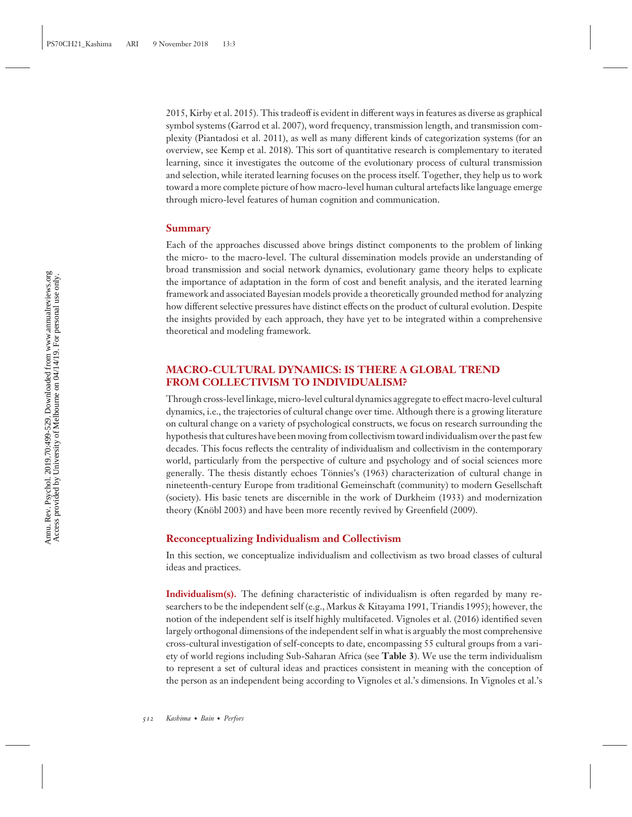2015, Kirby et al. 2015). This tradeoff is evident in different ways in features as diverse as graphical symbol systems (Garrod et al. 2007), word frequency, transmission length, and transmission complexity (Piantadosi et al. 2011), as well as many different kinds of categorization systems (for an overview, see Kemp et al. 2018). This sort of quantitative research is complementary to iterated learning, since it investigates the outcome of the evolutionary process of cultural transmission and selection, while iterated learning focuses on the process itself. Together, they help us to work toward a more complete picture of how macro-level human cultural artefacts like language emerge through micro-level features of human cognition and communication.

#### **Summary**

Each of the approaches discussed above brings distinct components to the problem of linking the micro- to the macro-level. The cultural dissemination models provide an understanding of broad transmission and social network dynamics, evolutionary game theory helps to explicate the importance of adaptation in the form of cost and benefit analysis, and the iterated learning framework and associated Bayesian models provide a theoretically grounded method for analyzing how different selective pressures have distinct effects on the product of cultural evolution. Despite the insights provided by each approach, they have yet to be integrated within a comprehensive theoretical and modeling framework.

## **MACRO-CULTURAL DYNAMICS: IS THERE A GLOBAL TREND FROM COLLECTIVISM TO INDIVIDUALISM?**

Through cross-level linkage, micro-level cultural dynamics aggregate to effect macro-level cultural dynamics, i.e., the trajectories of cultural change over time. Although there is a growing literature on cultural change on a variety of psychological constructs, we focus on research surrounding the hypothesis that cultures have been moving from collectivism toward individualism over the past few decades. This focus reflects the centrality of individualism and collectivism in the contemporary world, particularly from the perspective of culture and psychology and of social sciences more generally. The thesis distantly echoes Tonnies's (1963) characterization of cultural change in ¨ nineteenth-century Europe from traditional Gemeinschaft (community) to modern Gesellschaft (society). His basic tenets are discernible in the work of Durkheim (1933) and modernization theory (Knöbl 2003) and have been more recently revived by Greenfield (2009).

#### **Reconceptualizing Individualism and Collectivism**

In this section, we conceptualize individualism and collectivism as two broad classes of cultural ideas and practices.

**Individualism(s).** The defining characteristic of individualism is often regarded by many researchers to be the independent self (e.g., Markus & Kitayama 1991, Triandis 1995); however, the notion of the independent self is itself highly multifaceted. Vignoles et al. (2016) identified seven largely orthogonal dimensions of the independent self in what is arguably the most comprehensive cross-cultural investigation of self-concepts to date, encompassing 55 cultural groups from a variety of world regions including Sub-Saharan Africa (see **Table 3**). We use the term individualism to represent a set of cultural ideas and practices consistent in meaning with the conception of the person as an independent being according to Vignoles et al.'s dimensions. In Vignoles et al.'s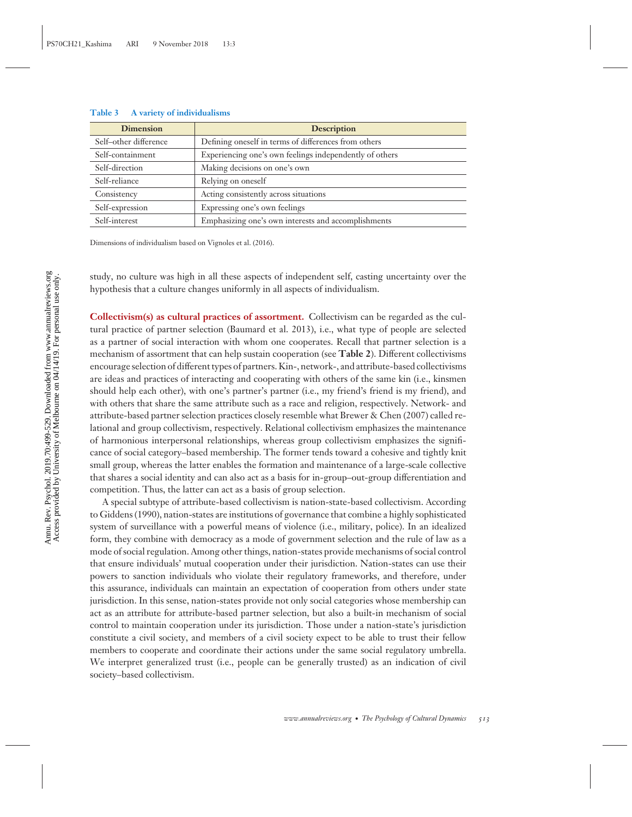#### **Table 3 A variety of individualisms**

| <b>Dimension</b>      | <b>Description</b>                                      |
|-----------------------|---------------------------------------------------------|
| Self-other difference | Defining oneself in terms of differences from others    |
| Self-containment      | Experiencing one's own feelings independently of others |
| Self-direction        | Making decisions on one's own                           |
| Self-reliance         | Relying on oneself                                      |
| Consistency           | Acting consistently across situations                   |
| Self-expression       | Expressing one's own feelings                           |
| Self-interest         | Emphasizing one's own interests and accomplishments     |

Dimensions of individualism based on Vignoles et al. (2016).

study, no culture was high in all these aspects of independent self, casting uncertainty over the hypothesis that a culture changes uniformly in all aspects of individualism.

**Collectivism(s) as cultural practices of assortment.** Collectivism can be regarded as the cultural practice of partner selection (Baumard et al. 2013), i.e., what type of people are selected as a partner of social interaction with whom one cooperates. Recall that partner selection is a mechanism of assortment that can help sustain cooperation (see **Table 2**). Different collectivisms encourage selection of different types of partners. Kin-, network-, and attribute-based collectivisms are ideas and practices of interacting and cooperating with others of the same kin (i.e., kinsmen should help each other), with one's partner's partner (i.e., my friend's friend is my friend), and with others that share the same attribute such as a race and religion, respectively. Network- and attribute-based partner selection practices closely resemble what Brewer & Chen (2007) called relational and group collectivism, respectively. Relational collectivism emphasizes the maintenance of harmonious interpersonal relationships, whereas group collectivism emphasizes the significance of social category–based membership. The former tends toward a cohesive and tightly knit small group, whereas the latter enables the formation and maintenance of a large-scale collective that shares a social identity and can also act as a basis for in-group–out-group differentiation and competition. Thus, the latter can act as a basis of group selection.

A special subtype of attribute-based collectivism is nation-state-based collectivism. According to Giddens (1990), nation-states are institutions of governance that combine a highly sophisticated system of surveillance with a powerful means of violence (i.e., military, police). In an idealized form, they combine with democracy as a mode of government selection and the rule of law as a mode of social regulation. Among other things, nation-states provide mechanisms of social control that ensure individuals' mutual cooperation under their jurisdiction. Nation-states can use their powers to sanction individuals who violate their regulatory frameworks, and therefore, under this assurance, individuals can maintain an expectation of cooperation from others under state jurisdiction. In this sense, nation-states provide not only social categories whose membership can act as an attribute for attribute-based partner selection, but also a built-in mechanism of social control to maintain cooperation under its jurisdiction. Those under a nation-state's jurisdiction constitute a civil society, and members of a civil society expect to be able to trust their fellow members to cooperate and coordinate their actions under the same social regulatory umbrella. We interpret generalized trust (i.e., people can be generally trusted) as an indication of civil society–based collectivism.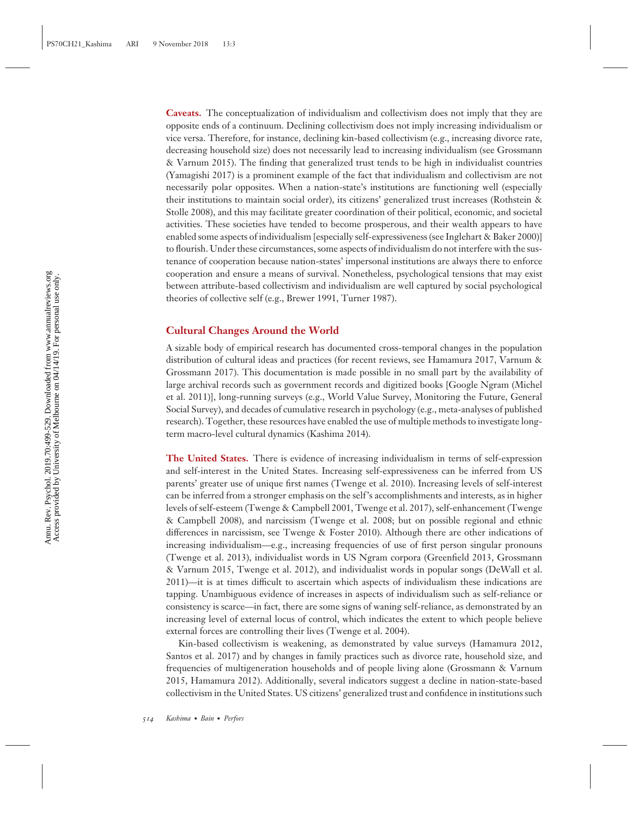**Caveats.** The conceptualization of individualism and collectivism does not imply that they are opposite ends of a continuum. Declining collectivism does not imply increasing individualism or vice versa. Therefore, for instance, declining kin-based collectivism (e.g., increasing divorce rate, decreasing household size) does not necessarily lead to increasing individualism (see Grossmann & Varnum 2015). The finding that generalized trust tends to be high in individualist countries (Yamagishi 2017) is a prominent example of the fact that individualism and collectivism are not necessarily polar opposites. When a nation-state's institutions are functioning well (especially their institutions to maintain social order), its citizens' generalized trust increases (Rothstein & Stolle 2008), and this may facilitate greater coordination of their political, economic, and societal activities. These societies have tended to become prosperous, and their wealth appears to have enabled some aspects of individualism [especially self-expressiveness (see Inglehart & Baker 2000)] to flourish. Under these circumstances, some aspects of individualism do not interfere with the sustenance of cooperation because nation-states' impersonal institutions are always there to enforce cooperation and ensure a means of survival. Nonetheless, psychological tensions that may exist between attribute-based collectivism and individualism are well captured by social psychological theories of collective self (e.g., Brewer 1991, Turner 1987).

## **Cultural Changes Around the World**

A sizable body of empirical research has documented cross-temporal changes in the population distribution of cultural ideas and practices (for recent reviews, see Hamamura 2017, Varnum & Grossmann 2017). This documentation is made possible in no small part by the availability of large archival records such as government records and digitized books [Google Ngram (Michel et al. 2011)], long-running surveys (e.g., World Value Survey, Monitoring the Future, General Social Survey), and decades of cumulative research in psychology (e.g., meta-analyses of published research). Together, these resources have enabled the use of multiple methods to investigate longterm macro-level cultural dynamics (Kashima 2014).

**The United States.** There is evidence of increasing individualism in terms of self-expression and self-interest in the United States. Increasing self-expressiveness can be inferred from US parents' greater use of unique first names (Twenge et al. 2010). Increasing levels of self-interest can be inferred from a stronger emphasis on the self's accomplishments and interests, as in higher levels of self-esteem (Twenge & Campbell 2001, Twenge et al. 2017), self-enhancement (Twenge & Campbell 2008), and narcissism (Twenge et al. 2008; but on possible regional and ethnic differences in narcissism, see Twenge & Foster 2010). Although there are other indications of increasing individualism—e.g., increasing frequencies of use of first person singular pronouns (Twenge et al. 2013), individualist words in US Ngram corpora (Greenfield 2013, Grossmann & Varnum 2015, Twenge et al. 2012), and individualist words in popular songs (DeWall et al. 2011)—it is at times difficult to ascertain which aspects of individualism these indications are tapping. Unambiguous evidence of increases in aspects of individualism such as self-reliance or consistency is scarce—in fact, there are some signs of waning self-reliance, as demonstrated by an increasing level of external locus of control, which indicates the extent to which people believe external forces are controlling their lives (Twenge et al. 2004).

Kin-based collectivism is weakening, as demonstrated by value surveys (Hamamura 2012, Santos et al. 2017) and by changes in family practices such as divorce rate, household size, and frequencies of multigeneration households and of people living alone (Grossmann & Varnum 2015, Hamamura 2012). Additionally, several indicators suggest a decline in nation-state-based collectivism in the United States. US citizens' generalized trust and confidence in institutions such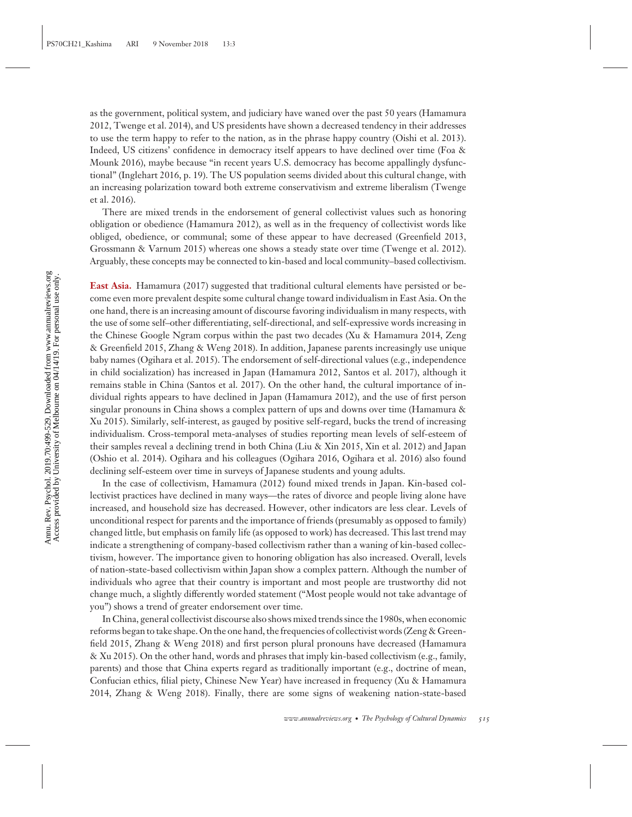as the government, political system, and judiciary have waned over the past 50 years (Hamamura 2012, Twenge et al. 2014), and US presidents have shown a decreased tendency in their addresses to use the term happy to refer to the nation, as in the phrase happy country (Oishi et al. 2013). Indeed, US citizens' confidence in democracy itself appears to have declined over time (Foa & Mounk 2016), maybe because "in recent years U.S. democracy has become appallingly dysfunctional" (Inglehart 2016, p. 19). The US population seems divided about this cultural change, with an increasing polarization toward both extreme conservativism and extreme liberalism (Twenge et al. 2016).

There are mixed trends in the endorsement of general collectivist values such as honoring obligation or obedience (Hamamura 2012), as well as in the frequency of collectivist words like obliged, obedience, or communal; some of these appear to have decreased (Greenfield 2013, Grossmann & Varnum 2015) whereas one shows a steady state over time (Twenge et al. 2012). Arguably, these concepts may be connected to kin-based and local community–based collectivism.

**East Asia.** Hamamura (2017) suggested that traditional cultural elements have persisted or become even more prevalent despite some cultural change toward individualism in East Asia. On the one hand, there is an increasing amount of discourse favoring individualism in many respects, with the use of some self–other differentiating, self-directional, and self-expressive words increasing in the Chinese Google Ngram corpus within the past two decades (Xu & Hamamura 2014, Zeng & Greenfield 2015, Zhang & Weng 2018). In addition, Japanese parents increasingly use unique baby names (Ogihara et al. 2015). The endorsement of self-directional values (e.g., independence in child socialization) has increased in Japan (Hamamura 2012, Santos et al. 2017), although it remains stable in China (Santos et al. 2017). On the other hand, the cultural importance of individual rights appears to have declined in Japan (Hamamura 2012), and the use of first person singular pronouns in China shows a complex pattern of ups and downs over time (Hamamura & Xu 2015). Similarly, self-interest, as gauged by positive self-regard, bucks the trend of increasing individualism. Cross-temporal meta-analyses of studies reporting mean levels of self-esteem of their samples reveal a declining trend in both China (Liu & Xin 2015, Xin et al. 2012) and Japan (Oshio et al. 2014). Ogihara and his colleagues (Ogihara 2016, Ogihara et al. 2016) also found declining self-esteem over time in surveys of Japanese students and young adults.

In the case of collectivism, Hamamura (2012) found mixed trends in Japan. Kin-based collectivist practices have declined in many ways—the rates of divorce and people living alone have increased, and household size has decreased. However, other indicators are less clear. Levels of unconditional respect for parents and the importance of friends (presumably as opposed to family) changed little, but emphasis on family life (as opposed to work) has decreased. This last trend may indicate a strengthening of company-based collectivism rather than a waning of kin-based collectivism, however. The importance given to honoring obligation has also increased. Overall, levels of nation-state-based collectivism within Japan show a complex pattern. Although the number of individuals who agree that their country is important and most people are trustworthy did not change much, a slightly differently worded statement ("Most people would not take advantage of you") shows a trend of greater endorsement over time.

In China, general collectivist discourse also shows mixed trends since the 1980s, when economic reforms began to take shape. On the one hand, the frequencies of collectivist words (Zeng & Greenfield 2015, Zhang & Weng 2018) and first person plural pronouns have decreased (Hamamura & Xu 2015). On the other hand, words and phrases that imply kin-based collectivism (e.g., family, parents) and those that China experts regard as traditionally important (e.g., doctrine of mean, Confucian ethics, filial piety, Chinese New Year) have increased in frequency (Xu & Hamamura 2014, Zhang & Weng 2018). Finally, there are some signs of weakening nation-state-based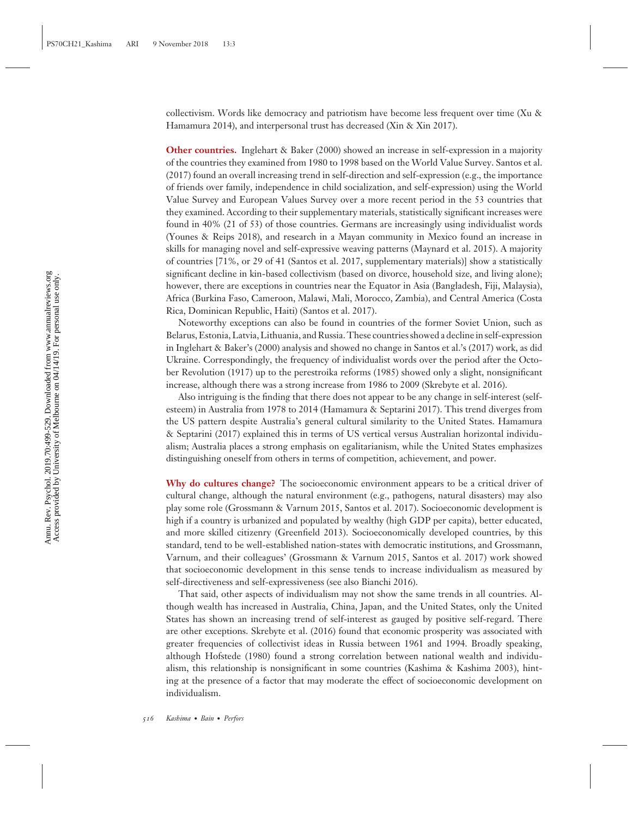collectivism. Words like democracy and patriotism have become less frequent over time (Xu & Hamamura 2014), and interpersonal trust has decreased (Xin & Xin 2017).

**Other countries.** Inglehart & Baker (2000) showed an increase in self-expression in a majority of the countries they examined from 1980 to 1998 based on the World Value Survey. Santos et al. (2017) found an overall increasing trend in self-direction and self-expression (e.g., the importance of friends over family, independence in child socialization, and self-expression) using the World Value Survey and European Values Survey over a more recent period in the 53 countries that they examined. According to their supplementary materials, statistically significant increases were found in 40% (21 of 53) of those countries. Germans are increasingly using individualist words (Younes & Reips 2018), and research in a Mayan community in Mexico found an increase in skills for managing novel and self-expressive weaving patterns (Maynard et al. 2015). A majority of countries [71%, or 29 of 41 (Santos et al. 2017, supplementary materials)] show a statistically significant decline in kin-based collectivism (based on divorce, household size, and living alone); however, there are exceptions in countries near the Equator in Asia (Bangladesh, Fiji, Malaysia), Africa (Burkina Faso, Cameroon, Malawi, Mali, Morocco, Zambia), and Central America (Costa Rica, Dominican Republic, Haiti) (Santos et al. 2017).

Noteworthy exceptions can also be found in countries of the former Soviet Union, such as Belarus, Estonia, Latvia, Lithuania, and Russia. These countries showed a decline in self-expression in Inglehart & Baker's (2000) analysis and showed no change in Santos et al.'s (2017) work, as did Ukraine. Correspondingly, the frequency of individualist words over the period after the October Revolution (1917) up to the perestroika reforms (1985) showed only a slight, nonsignificant increase, although there was a strong increase from 1986 to 2009 (Skrebyte et al. 2016).

Also intriguing is the finding that there does not appear to be any change in self-interest (selfesteem) in Australia from 1978 to 2014 (Hamamura & Septarini 2017). This trend diverges from the US pattern despite Australia's general cultural similarity to the United States. Hamamura & Septarini (2017) explained this in terms of US vertical versus Australian horizontal individualism; Australia places a strong emphasis on egalitarianism, while the United States emphasizes distinguishing oneself from others in terms of competition, achievement, and power.

**Why do cultures change?** The socioeconomic environment appears to be a critical driver of cultural change, although the natural environment (e.g., pathogens, natural disasters) may also play some role (Grossmann & Varnum 2015, Santos et al. 2017). Socioeconomic development is high if a country is urbanized and populated by wealthy (high GDP per capita), better educated, and more skilled citizenry (Greenfield 2013). Socioeconomically developed countries, by this standard, tend to be well-established nation-states with democratic institutions, and Grossmann, Varnum, and their colleagues' (Grossmann & Varnum 2015, Santos et al. 2017) work showed that socioeconomic development in this sense tends to increase individualism as measured by self-directiveness and self-expressiveness (see also Bianchi 2016).

That said, other aspects of individualism may not show the same trends in all countries. Although wealth has increased in Australia, China, Japan, and the United States, only the United States has shown an increasing trend of self-interest as gauged by positive self-regard. There are other exceptions. Skrebyte et al. (2016) found that economic prosperity was associated with greater frequencies of collectivist ideas in Russia between 1961 and 1994. Broadly speaking, although Hofstede (1980) found a strong correlation between national wealth and individualism, this relationship is nonsignificant in some countries (Kashima & Kashima 2003), hinting at the presence of a factor that may moderate the effect of socioeconomic development on individualism.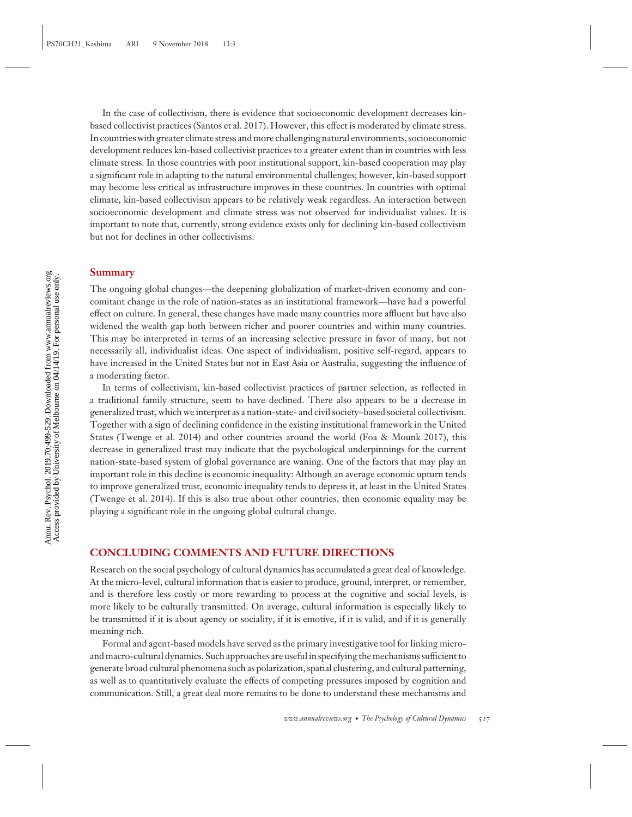In the case of collectivism, there is evidence that socioeconomic development decreases kinbased collectivist practices (Santos et al. 2017). However, this effect is moderated by climate stress. In countries with greater climate stress and more challenging natural environments, socioeconomic development reduces kin-based collectivist practices to a greater extent than in countries with less climate stress. In those countries with poor institutional support, kin-based cooperation may play a significant role in adapting to the natural environmental challenges; however, kin-based support may become less critical as infrastructure improves in these countries. In countries with optimal climate, kin-based collectivism appears to be relatively weak regardless. An interaction between socioeconomic development and climate stress was not observed for individualist values. It is important to note that, currently, strong evidence exists only for declining kin-based collectivism but not for declines in other collectivisms.

#### **Summary**

The ongoing global changes—the deepening globalization of market-driven economy and concomitant change in the role of nation-states as an institutional framework—have had a powerful effect on culture. In general, these changes have made many countries more affluent but have also widened the wealth gap both between richer and poorer countries and within many countries. This may be interpreted in terms of an increasing selective pressure in favor of many, but not necessarily all, individualist ideas. One aspect of individualism, positive self-regard, appears to have increased in the United States but not in East Asia or Australia, suggesting the influence of a moderating factor.

In terms of collectivism, kin-based collectivist practices of partner selection, as reflected in a traditional family structure, seem to have declined. There also appears to be a decrease in generalized trust, which we interpret as a nation-state- and civil society–based societal collectivism. Together with a sign of declining confidence in the existing institutional framework in the United States (Twenge et al. 2014) and other countries around the world (Foa & Mounk 2017), this decrease in generalized trust may indicate that the psychological underpinnings for the current nation-state-based system of global governance are waning. One of the factors that may play an important role in this decline is economic inequality: Although an average economic upturn tends to improve generalized trust, economic inequality tends to depress it, at least in the United States (Twenge et al. 2014). If this is also true about other countries, then economic equality may be playing a significant role in the ongoing global cultural change.

## **CONCLUDING COMMENTS AND FUTURE DIRECTIONS**

Research on the social psychology of cultural dynamics has accumulated a great deal of knowledge. At the micro-level, cultural information that is easier to produce, ground, interpret, or remember, and is therefore less costly or more rewarding to process at the cognitive and social levels, is more likely to be culturally transmitted. On average, cultural information is especially likely to be transmitted if it is about agency or sociality, if it is emotive, if it is valid, and if it is generally meaning rich.

Formal and agent-based models have served as the primary investigative tool for linking microand macro-cultural dynamics. Such approaches are useful in specifying the mechanisms sufficient to generate broad cultural phenomena such as polarization, spatial clustering, and cultural patterning, as well as to quantitatively evaluate the effects of competing pressures imposed by cognition and communication. Still, a great deal more remains to be done to understand these mechanisms and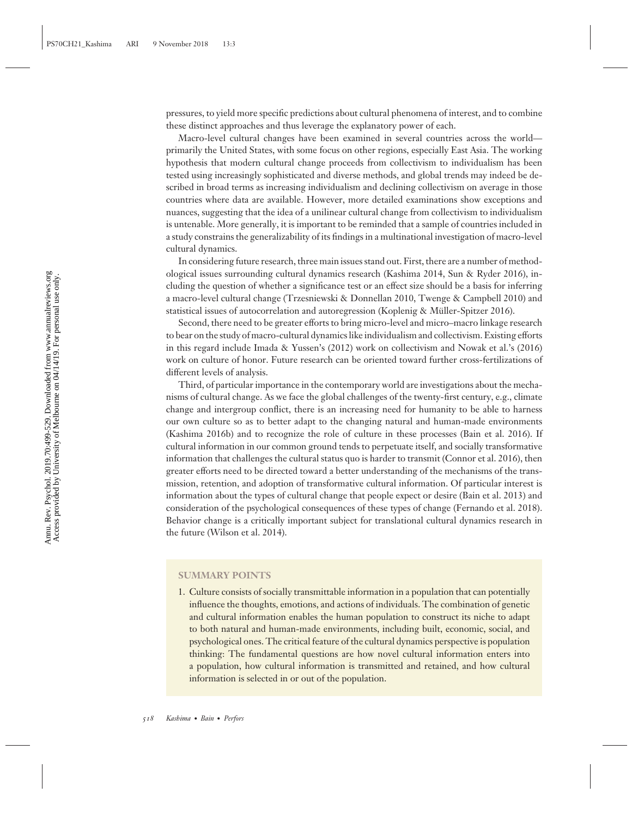pressures, to yield more specific predictions about cultural phenomena of interest, and to combine these distinct approaches and thus leverage the explanatory power of each.

Macro-level cultural changes have been examined in several countries across the world primarily the United States, with some focus on other regions, especially East Asia. The working hypothesis that modern cultural change proceeds from collectivism to individualism has been tested using increasingly sophisticated and diverse methods, and global trends may indeed be described in broad terms as increasing individualism and declining collectivism on average in those countries where data are available. However, more detailed examinations show exceptions and nuances, suggesting that the idea of a unilinear cultural change from collectivism to individualism is untenable. More generally, it is important to be reminded that a sample of countries included in a study constrains the generalizability of its findings in a multinational investigation of macro-level cultural dynamics.

In considering future research, three main issues stand out. First, there are a number of methodological issues surrounding cultural dynamics research (Kashima 2014, Sun & Ryder 2016), including the question of whether a significance test or an effect size should be a basis for inferring a macro-level cultural change (Trzesniewski & Donnellan 2010, Twenge & Campbell 2010) and statistical issues of autocorrelation and autoregression (Koplenig & Muller-Spitzer 2016). ¨

Second, there need to be greater efforts to bring micro-level and micro–macro linkage research to bear on the study of macro-cultural dynamics like individualism and collectivism. Existing efforts in this regard include Imada & Yussen's (2012) work on collectivism and Nowak et al.'s (2016) work on culture of honor. Future research can be oriented toward further cross-fertilizations of different levels of analysis.

Third, of particular importance in the contemporary world are investigations about the mechanisms of cultural change. As we face the global challenges of the twenty-first century, e.g., climate change and intergroup conflict, there is an increasing need for humanity to be able to harness our own culture so as to better adapt to the changing natural and human-made environments (Kashima 2016b) and to recognize the role of culture in these processes (Bain et al. 2016). If cultural information in our common ground tends to perpetuate itself, and socially transformative information that challenges the cultural status quo is harder to transmit (Connor et al. 2016), then greater efforts need to be directed toward a better understanding of the mechanisms of the transmission, retention, and adoption of transformative cultural information. Of particular interest is information about the types of cultural change that people expect or desire (Bain et al. 2013) and consideration of the psychological consequences of these types of change (Fernando et al. 2018). Behavior change is a critically important subject for translational cultural dynamics research in the future (Wilson et al. 2014).

## **SUMMARY POINTS**

1. Culture consists of socially transmittable information in a population that can potentially influence the thoughts, emotions, and actions of individuals. The combination of genetic and cultural information enables the human population to construct its niche to adapt to both natural and human-made environments, including built, economic, social, and psychological ones. The critical feature of the cultural dynamics perspective is population thinking: The fundamental questions are how novel cultural information enters into a population, how cultural information is transmitted and retained, and how cultural information is selected in or out of the population.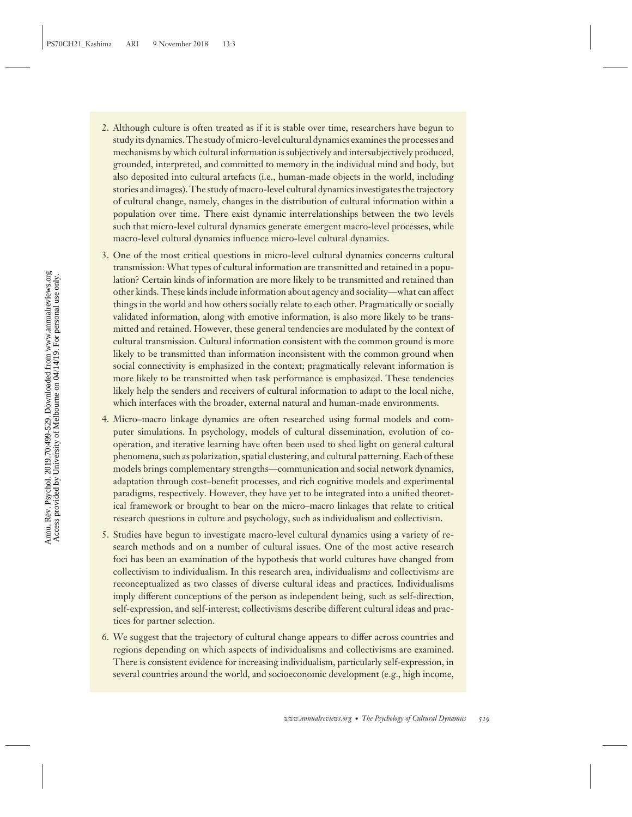- 2. Although culture is often treated as if it is stable over time, researchers have begun to study its dynamics. The study of micro-level cultural dynamics examines the processes and mechanisms by which cultural information is subjectively and intersubjectively produced, grounded, interpreted, and committed to memory in the individual mind and body, but also deposited into cultural artefacts (i.e., human-made objects in the world, including stories and images). The study of macro-level cultural dynamics investigates the trajectory of cultural change, namely, changes in the distribution of cultural information within a population over time. There exist dynamic interrelationships between the two levels such that micro-level cultural dynamics generate emergent macro-level processes, while macro-level cultural dynamics influence micro-level cultural dynamics.
- 3. One of the most critical questions in micro-level cultural dynamics concerns cultural transmission: What types of cultural information are transmitted and retained in a population? Certain kinds of information are more likely to be transmitted and retained than other kinds. These kinds include information about agency and sociality—what can affect things in the world and how others socially relate to each other. Pragmatically or socially validated information, along with emotive information, is also more likely to be transmitted and retained. However, these general tendencies are modulated by the context of cultural transmission. Cultural information consistent with the common ground is more likely to be transmitted than information inconsistent with the common ground when social connectivity is emphasized in the context; pragmatically relevant information is more likely to be transmitted when task performance is emphasized. These tendencies likely help the senders and receivers of cultural information to adapt to the local niche, which interfaces with the broader, external natural and human-made environments.
- 4. Micro–macro linkage dynamics are often researched using formal models and computer simulations. In psychology, models of cultural dissemination, evolution of cooperation, and iterative learning have often been used to shed light on general cultural phenomena, such as polarization, spatial clustering, and cultural patterning. Each of these models brings complementary strengths—communication and social network dynamics, adaptation through cost–benefit processes, and rich cognitive models and experimental paradigms, respectively. However, they have yet to be integrated into a unified theoretical framework or brought to bear on the micro–macro linkages that relate to critical research questions in culture and psychology, such as individualism and collectivism.
- 5. Studies have begun to investigate macro-level cultural dynamics using a variety of research methods and on a number of cultural issues. One of the most active research foci has been an examination of the hypothesis that world cultures have changed from collectivism to individualism. In this research area, individualism*s* and collectivism*s* are reconceptualized as two classes of diverse cultural ideas and practices. Individualisms imply different conceptions of the person as independent being, such as self-direction, self-expression, and self-interest; collectivisms describe different cultural ideas and practices for partner selection.
- 6. We suggest that the trajectory of cultural change appears to differ across countries and regions depending on which aspects of individualisms and collectivisms are examined. There is consistent evidence for increasing individualism, particularly self-expression, in several countries around the world, and socioeconomic development (e.g., high income,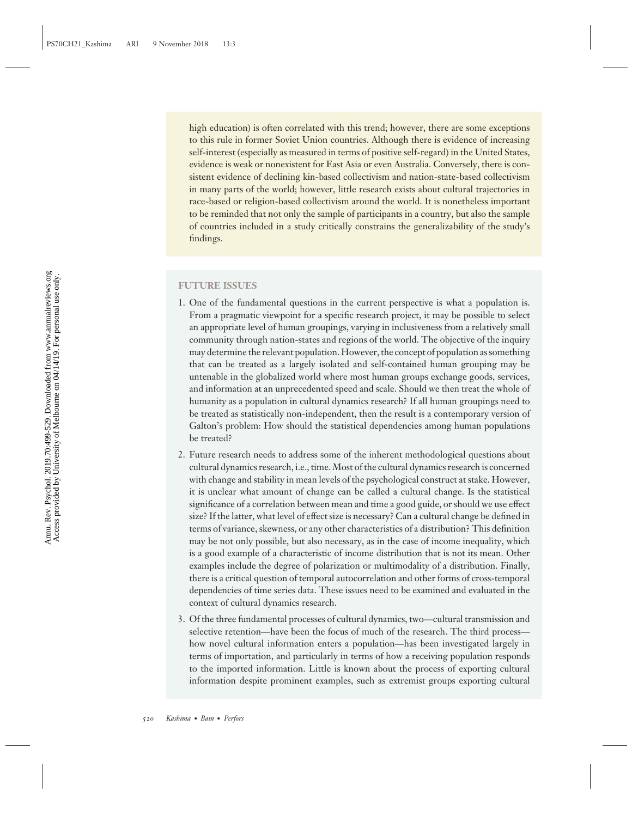high education) is often correlated with this trend; however, there are some exceptions to this rule in former Soviet Union countries. Although there is evidence of increasing self-interest (especially as measured in terms of positive self-regard) in the United States, evidence is weak or nonexistent for East Asia or even Australia. Conversely, there is consistent evidence of declining kin-based collectivism and nation-state-based collectivism in many parts of the world; however, little research exists about cultural trajectories in race-based or religion-based collectivism around the world. It is nonetheless important to be reminded that not only the sample of participants in a country, but also the sample of countries included in a study critically constrains the generalizability of the study's findings.

## **FUTURE ISSUES**

- 1. One of the fundamental questions in the current perspective is what a population is. From a pragmatic viewpoint for a specific research project, it may be possible to select an appropriate level of human groupings, varying in inclusiveness from a relatively small community through nation-states and regions of the world. The objective of the inquiry may determine the relevant population. However, the concept of population as something that can be treated as a largely isolated and self-contained human grouping may be untenable in the globalized world where most human groups exchange goods, services, and information at an unprecedented speed and scale. Should we then treat the whole of humanity as a population in cultural dynamics research? If all human groupings need to be treated as statistically non-independent, then the result is a contemporary version of Galton's problem: How should the statistical dependencies among human populations be treated?
- 2. Future research needs to address some of the inherent methodological questions about cultural dynamics research, i.e., time. Most of the cultural dynamics research is concerned with change and stability in mean levels of the psychological construct at stake. However, it is unclear what amount of change can be called a cultural change. Is the statistical significance of a correlation between mean and time a good guide, or should we use effect size? If the latter, what level of effect size is necessary? Can a cultural change be defined in terms of variance, skewness, or any other characteristics of a distribution? This definition may be not only possible, but also necessary, as in the case of income inequality, which is a good example of a characteristic of income distribution that is not its mean. Other examples include the degree of polarization or multimodality of a distribution. Finally, there is a critical question of temporal autocorrelation and other forms of cross-temporal dependencies of time series data. These issues need to be examined and evaluated in the context of cultural dynamics research.
- 3. Of the three fundamental processes of cultural dynamics, two—cultural transmission and selective retention—have been the focus of much of the research. The third process how novel cultural information enters a population—has been investigated largely in terms of importation, and particularly in terms of how a receiving population responds to the imported information. Little is known about the process of exporting cultural information despite prominent examples, such as extremist groups exporting cultural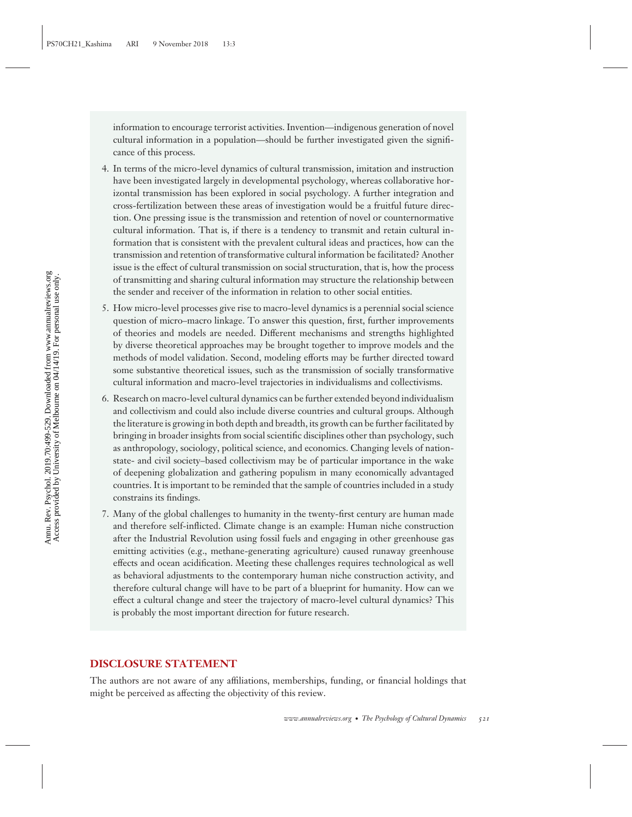information to encourage terrorist activities. Invention—indigenous generation of novel cultural information in a population—should be further investigated given the significance of this process.

- 4. In terms of the micro-level dynamics of cultural transmission, imitation and instruction have been investigated largely in developmental psychology, whereas collaborative horizontal transmission has been explored in social psychology. A further integration and cross-fertilization between these areas of investigation would be a fruitful future direction. One pressing issue is the transmission and retention of novel or counternormative cultural information. That is, if there is a tendency to transmit and retain cultural information that is consistent with the prevalent cultural ideas and practices, how can the transmission and retention of transformative cultural information be facilitated? Another issue is the effect of cultural transmission on social structuration, that is, how the process of transmitting and sharing cultural information may structure the relationship between the sender and receiver of the information in relation to other social entities.
- 5. How micro-level processes give rise to macro-level dynamics is a perennial social science question of micro–macro linkage. To answer this question, first, further improvements of theories and models are needed. Different mechanisms and strengths highlighted by diverse theoretical approaches may be brought together to improve models and the methods of model validation. Second, modeling efforts may be further directed toward some substantive theoretical issues, such as the transmission of socially transformative cultural information and macro-level trajectories in individualisms and collectivisms.
- 6. Research on macro-level cultural dynamics can be further extended beyond individualism and collectivism and could also include diverse countries and cultural groups. Although the literature is growing in both depth and breadth, its growth can be further facilitated by bringing in broader insights from social scientific disciplines other than psychology, such as anthropology, sociology, political science, and economics. Changing levels of nationstate- and civil society–based collectivism may be of particular importance in the wake of deepening globalization and gathering populism in many economically advantaged countries. It is important to be reminded that the sample of countries included in a study constrains its findings.
- 7. Many of the global challenges to humanity in the twenty-first century are human made and therefore self-inflicted. Climate change is an example: Human niche construction after the Industrial Revolution using fossil fuels and engaging in other greenhouse gas emitting activities (e.g., methane-generating agriculture) caused runaway greenhouse effects and ocean acidification. Meeting these challenges requires technological as well as behavioral adjustments to the contemporary human niche construction activity, and therefore cultural change will have to be part of a blueprint for humanity. How can we effect a cultural change and steer the trajectory of macro-level cultural dynamics? This is probably the most important direction for future research.

## **DISCLOSURE STATEMENT**

The authors are not aware of any affiliations, memberships, funding, or financial holdings that might be perceived as affecting the objectivity of this review.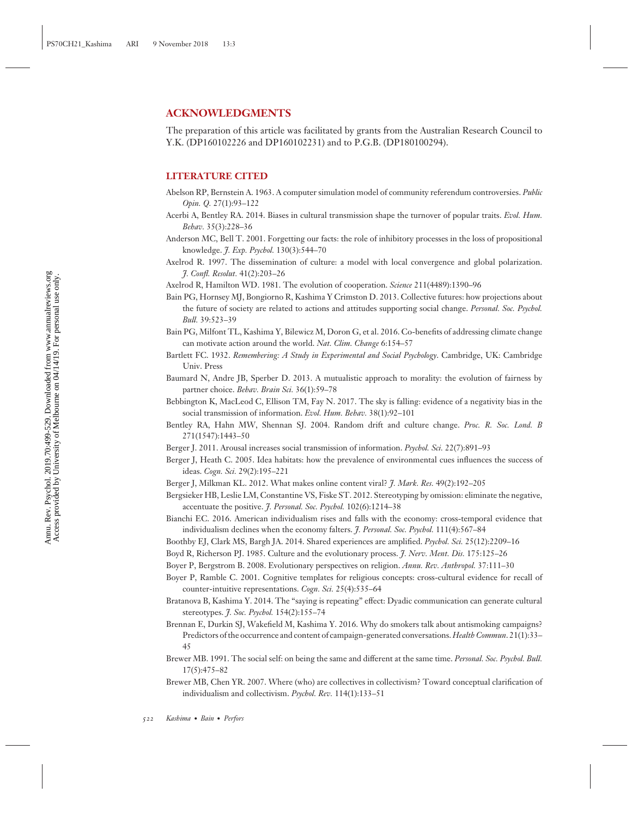## **ACKNOWLEDGMENTS**

The preparation of this article was facilitated by grants from the Australian Research Council to Y.K. (DP160102226 and DP160102231) and to P.G.B. (DP180100294).

## **LITERATURE CITED**

- Abelson RP, Bernstein A. 1963. A computer simulation model of community referendum controversies. *Public Opin. Q.* 27(1):93–122
- Acerbi A, Bentley RA. 2014. Biases in cultural transmission shape the turnover of popular traits. *Evol. Hum. Behav.* 35(3):228–36
- Anderson MC, Bell T. 2001. Forgetting our facts: the role of inhibitory processes in the loss of propositional knowledge. *J. Exp. Psychol.* 130(3):544–70
- Axelrod R. 1997. The dissemination of culture: a model with local convergence and global polarization. *J. Confl. Resolut.* 41(2):203–26
- Axelrod R, Hamilton WD. 1981. The evolution of cooperation. *Science* 211(4489):1390–96
- Bain PG, Hornsey MJ, Bongiorno R, Kashima Y Crimston D. 2013. Collective futures: how projections about the future of society are related to actions and attitudes supporting social change. *Personal. Soc. Psychol. Bull.* 39:523–39
- Bain PG, Milfont TL, Kashima Y, Bilewicz M, Doron G, et al. 2016. Co-benefits of addressing climate change can motivate action around the world. *Nat. Clim. Change* 6:154–57
- Bartlett FC. 1932. *Remembering: A Study in Experimental and Social Psychology*. Cambridge, UK: Cambridge Univ. Press
- Baumard N, Andre JB, Sperber D. 2013. A mutualistic approach to morality: the evolution of fairness by partner choice. *Behav. Brain Sci.* 36(1):59–78
- Bebbington K, MacLeod C, Ellison TM, Fay N. 2017. The sky is falling: evidence of a negativity bias in the social transmission of information. *Evol. Hum. Behav.* 38(1):92–101
- Bentley RA, Hahn MW, Shennan SJ. 2004. Random drift and culture change. *Proc. R. Soc. Lond. B* 271(1547):1443–50
- Berger J. 2011. Arousal increases social transmission of information. *Psychol. Sci.* 22(7):891–93
- Berger J, Heath C. 2005. Idea habitats: how the prevalence of environmental cues influences the success of ideas. *Cogn. Sci.* 29(2):195–221
- Berger J, Milkman KL. 2012. What makes online content viral? *J. Mark. Res.* 49(2):192–205
- Bergsieker HB, Leslie LM, Constantine VS, Fiske ST. 2012. Stereotyping by omission: eliminate the negative, accentuate the positive. *J. Personal. Soc. Psychol.* 102(6):1214–38
- Bianchi EC. 2016. American individualism rises and falls with the economy: cross-temporal evidence that individualism declines when the economy falters. *J. Personal. Soc. Psychol.* 111(4):567–84
- Boothby EJ, Clark MS, Bargh JA. 2014. Shared experiences are amplified. *Psychol. Sci.* 25(12):2209–16
- Boyd R, Richerson PJ. 1985. Culture and the evolutionary process. *J. Nerv. Ment. Dis.* 175:125–26
- Boyer P, Bergstrom B. 2008. Evolutionary perspectives on religion. *Annu. Rev. Anthropol.* 37:111–30
- Boyer P, Ramble C. 2001. Cognitive templates for religious concepts: cross-cultural evidence for recall of counter-intuitive representations. *Cogn. Sci.* 25(4):535–64
- Bratanova B, Kashima Y. 2014. The "saying is repeating" effect: Dyadic communication can generate cultural stereotypes. *J. Soc. Psychol.* 154(2):155–74
- Brennan E, Durkin SJ, Wakefield M, Kashima Y. 2016. Why do smokers talk about antismoking campaigns? Predictors of the occurrence and content of campaign-generated conversations.*Health Commun*. 21(1):33– 45
- Brewer MB. 1991. The social self: on being the same and different at the same time. *Personal. Soc. Psychol. Bull.* 17(5):475–82
- Brewer MB, Chen YR. 2007. Where (who) are collectives in collectivism? Toward conceptual clarification of individualism and collectivism. *Psychol. Rev.* 114(1):133–51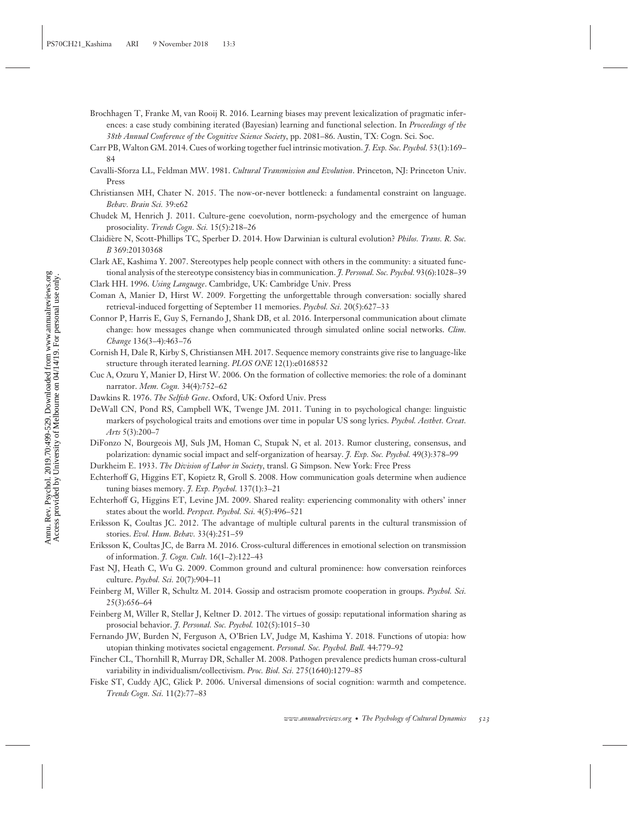- Brochhagen T, Franke M, van Rooij R. 2016. Learning biases may prevent lexicalization of pragmatic inferences: a case study combining iterated (Bayesian) learning and functional selection. In *Proceedings of the 38th Annual Conference of the Cognitive Science Society*, pp. 2081–86. Austin, TX: Cogn. Sci. Soc.
- Carr PB, Walton GM. 2014. Cues of working together fuel intrinsic motivation. *J. Exp. Soc. Psychol.* 53(1):169– 84
- Cavalli-Sforza LL, Feldman MW. 1981. *Cultural Transmission and Evolution*. Princeton, NJ: Princeton Univ. Press
- Christiansen MH, Chater N. 2015. The now-or-never bottleneck: a fundamental constraint on language. *Behav. Brain Sci.* 39:e62
- Chudek M, Henrich J. 2011. Culture-gene coevolution, norm-psychology and the emergence of human prosociality. *Trends Cogn. Sci.* 15(5):218–26
- Claidiere N, Scott-Phillips TC, Sperber D. 2014. How Darwinian is cultural evolution? ` *Philos. Trans. R. Soc. B* 369:20130368
- Clark AE, Kashima Y. 2007. Stereotypes help people connect with others in the community: a situated functional analysis of the stereotype consistency bias in communication. *J. Personal. Soc. Psychol.* 93(6):1028–39
- Clark HH. 1996. *Using Language*. Cambridge, UK: Cambridge Univ. Press
- Coman A, Manier D, Hirst W. 2009. Forgetting the unforgettable through conversation: socially shared retrieval-induced forgetting of September 11 memories. *Psychol. Sci.* 20(5):627–33
- Connor P, Harris E, Guy S, Fernando J, Shank DB, et al. 2016. Interpersonal communication about climate change: how messages change when communicated through simulated online social networks. *Clim. Change* 136(3–4):463–76
- Cornish H, Dale R, Kirby S, Christiansen MH. 2017. Sequence memory constraints give rise to language-like structure through iterated learning. *PLOS ONE* 12(1):e0168532
- Cuc A, Ozuru Y, Manier D, Hirst W. 2006. On the formation of collective memories: the role of a dominant narrator. *Mem. Cogn.* 34(4):752–62
- Dawkins R. 1976. *The Selfish Gene*. Oxford, UK: Oxford Univ. Press
- DeWall CN, Pond RS, Campbell WK, Twenge JM. 2011. Tuning in to psychological change: linguistic markers of psychological traits and emotions over time in popular US song lyrics. *Psychol. Aesthet. Creat. Arts* 5(3):200–7
- DiFonzo N, Bourgeois MJ, Suls JM, Homan C, Stupak N, et al. 2013. Rumor clustering, consensus, and polarization: dynamic social impact and self-organization of hearsay. *J. Exp. Soc. Psychol.* 49(3):378–99
- Durkheim E. 1933. *The Division of Labor in Society*, transl. G Simpson. New York: Free Press
- Echterhoff G, Higgins ET, Kopietz R, Groll S. 2008. How communication goals determine when audience tuning biases memory. *J. Exp. Psychol.* 137(1):3–21
- Echterhoff G, Higgins ET, Levine JM. 2009. Shared reality: experiencing commonality with others' inner states about the world. *Perspect. Psychol. Sci.* 4(5):496–521
- Eriksson K, Coultas JC. 2012. The advantage of multiple cultural parents in the cultural transmission of stories. *Evol. Hum. Behav.* 33(4):251–59
- Eriksson K, Coultas JC, de Barra M. 2016. Cross-cultural differences in emotional selection on transmission of information. *J. Cogn. Cult.* 16(1–2):122–43
- Fast NJ, Heath C, Wu G. 2009. Common ground and cultural prominence: how conversation reinforces culture. *Psychol. Sci.* 20(7):904–11
- Feinberg M, Willer R, Schultz M. 2014. Gossip and ostracism promote cooperation in groups. *Psychol. Sci.* 25(3):656–64
- Feinberg M, Willer R, Stellar J, Keltner D. 2012. The virtues of gossip: reputational information sharing as prosocial behavior. *J. Personal. Soc. Psychol.* 102(5):1015–30
- Fernando JW, Burden N, Ferguson A, O'Brien LV, Judge M, Kashima Y. 2018. Functions of utopia: how utopian thinking motivates societal engagement. *Personal. Soc. Psychol. Bull.* 44:779–92
- Fincher CL, Thornhill R, Murray DR, Schaller M. 2008. Pathogen prevalence predicts human cross-cultural variability in individualism/collectivism. *Proc. Biol. Sci.* 275(1640):1279–85
- Fiske ST, Cuddy AJC, Glick P. 2006. Universal dimensions of social cognition: warmth and competence. *Trends Cogn. Sci.* 11(2):77–83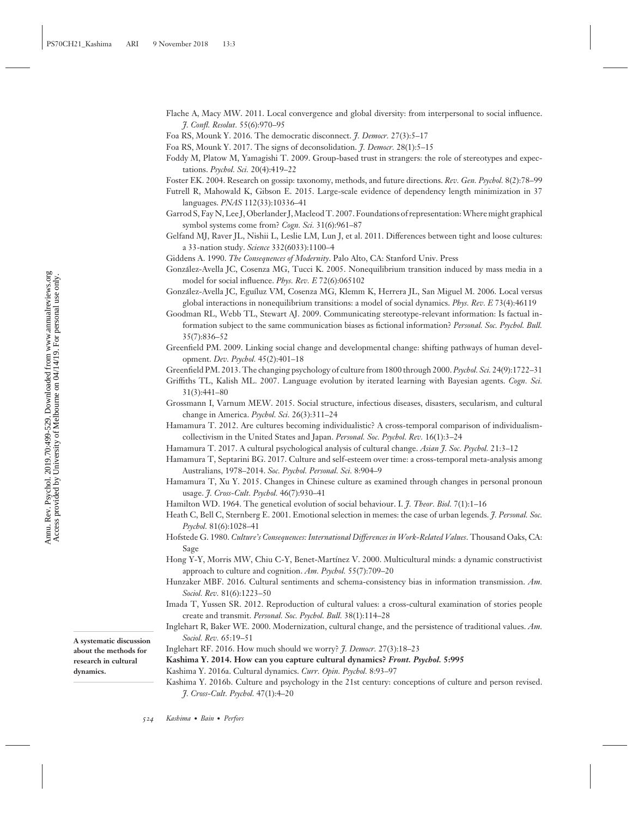Flache A, Macy MW. 2011. Local convergence and global diversity: from interpersonal to social influence. *J. Confl. Resolut.* 55(6):970–95

- Foa RS, Mounk Y. 2017. The signs of deconsolidation. *J. Democr.* 28(1):5–15
- Foddy M, Platow M, Yamagishi T. 2009. Group-based trust in strangers: the role of stereotypes and expectations. *Psychol. Sci.* 20(4):419–22
- Foster EK. 2004. Research on gossip: taxonomy, methods, and future directions. *Rev. Gen. Psychol.* 8(2):78–99
- Futrell R, Mahowald K, Gibson E. 2015. Large-scale evidence of dependency length minimization in 37 languages. *PNAS* 112(33):10336–41
- Garrod S, Fay N, Lee J, Oberlander J,Macleod T. 2007. Foundations of representation:Where might graphical symbol systems come from? *Cogn. Sci.* 31(6):961–87
- Gelfand MJ, Raver JL, Nishii L, Leslie LM, Lun J, et al. 2011. Differences between tight and loose cultures: a 33-nation study. *Science* 332(6033):1100–4
- Giddens A. 1990. *The Consequences of Modernity*. Palo Alto, CA: Stanford Univ. Press
- Gonzalez-Avella JC, Cosenza MG, Tucci K. 2005. Nonequilibrium transition induced by mass media in a ´ model for social influence. *Phys. Rev. E* 72(6):065102
- González-Avella JC, Eguíluz VM, Cosenza MG, Klemm K, Herrera JL, San Miguel M. 2006. Local versus global interactions in nonequilibrium transitions: a model of social dynamics. *Phys. Rev. E* 73(4):46119
- Goodman RL, Webb TL, Stewart AJ. 2009. Communicating stereotype-relevant information: Is factual information subject to the same communication biases as fictional information? *Personal. Soc. Psychol. Bull.* 35(7):836–52
- Greenfield PM. 2009. Linking social change and developmental change: shifting pathways of human development. *Dev. Psychol.* 45(2):401–18
- Greenfield PM. 2013. The changing psychology of culture from 1800 through 2000. *Psychol. Sci.* 24(9):1722–31
- Griffiths TL, Kalish ML. 2007. Language evolution by iterated learning with Bayesian agents. *Cogn. Sci.* 31(3):441–80
- Grossmann I, Varnum MEW. 2015. Social structure, infectious diseases, disasters, secularism, and cultural change in America. *Psychol. Sci.* 26(3):311–24
- Hamamura T. 2012. Are cultures becoming individualistic? A cross-temporal comparison of individualismcollectivism in the United States and Japan. *Personal. Soc. Psychol. Rev.* 16(1):3–24
- Hamamura T. 2017. A cultural psychological analysis of cultural change. *Asian J. Soc. Psychol.* 21:3–12
- Hamamura T, Septarini BG. 2017. Culture and self-esteem over time: a cross-temporal meta-analysis among Australians, 1978–2014. *Soc. Psychol. Personal. Sci.* 8:904–9
- Hamamura T, Xu Y. 2015. Changes in Chinese culture as examined through changes in personal pronoun usage. *J. Cross-Cult. Psychol.* 46(7):930–41
- Hamilton WD. 1964. The genetical evolution of social behaviour. I. *J. Theor. Biol.* 7(1):1–16
- Heath C, Bell C, Sternberg E. 2001. Emotional selection in memes: the case of urban legends. *J. Personal. Soc. Psychol.* 81(6):1028–41
- Hofstede G. 1980. *Culture's Consequences: International Differences in Work-Related Values*. Thousand Oaks, CA: Sage
- Hong Y-Y, Morris MW, Chiu C-Y, Benet-Martínez V. 2000. Multicultural minds: a dynamic constructivist approach to culture and cognition. *Am. Psychol.* 55(7):709–20
- Hunzaker MBF. 2016. Cultural sentiments and schema-consistency bias in information transmission. *Am. Sociol. Rev.* 81(6):1223–50
- Imada T, Yussen SR. 2012. Reproduction of cultural values: a cross-cultural examination of stories people create and transmit. *Personal. Soc. Psychol. Bull.* 38(1):114–28
- Inglehart R, Baker WE. 2000. Modernization, cultural change, and the persistence of traditional values. *Am. Sociol. Rev.* 65:19–51
- Inglehart RF. 2016. How much should we worry? *J. Democr.* 27(3):18–23

**Kashima Y. 2014. How can you capture cultural dynamics?** *Front. Psychol.* **5:995**

- Kashima Y. 2016a. Cultural dynamics. *Curr. Opin. Psychol.* 8:93–97
- Kashima Y. 2016b. Culture and psychology in the 21st century: conceptions of culture and person revised. *J. Cross-Cult. Psychol.* 47(1):4–20

Foa RS, Mounk Y. 2016. The democratic disconnect. *J. Democr.* 27(3):5–17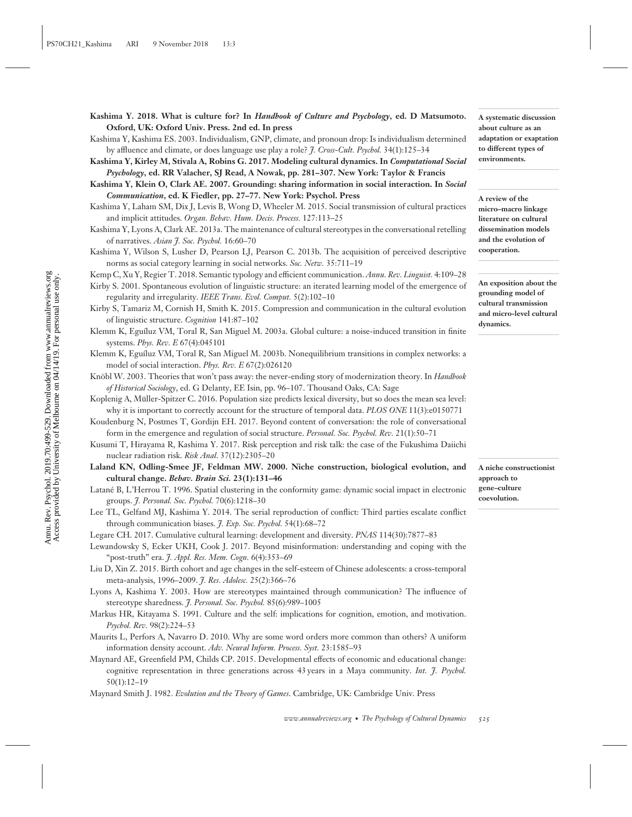- **Kashima Y. 2018. What is culture for? In** *Handbook of Culture and Psychology***, ed. D Matsumoto. Oxford, UK: Oxford Univ. Press. 2nd ed. In press**
- Kashima Y, Kashima ES. 2003. Individualism, GNP, climate, and pronoun drop: Is individualism determined by affluence and climate, or does language use play a role? *J. Cross-Cult. Psychol.* 34(1):125–34
- **Kashima Y, Kirley M, Stivala A, Robins G. 2017. Modeling cultural dynamics. In** *Computational Social Psychology***, ed. RR Valacher, SJ Read, A Nowak, pp. 281–307. New York: Taylor & Francis**
- **Kashima Y, Klein O, Clark AE. 2007. Grounding: sharing information in social interaction. In** *Social Communication***, ed. K Fiedler, pp. 27–77. New York: Psychol. Press**
- Kashima Y, Laham SM, Dix J, Levis B, Wong D, Wheeler M. 2015. Social transmission of cultural practices and implicit attitudes. *Organ. Behav. Hum. Decis. Process.* 127:113–25
- Kashima Y, Lyons A, Clark AE. 2013a. The maintenance of cultural stereotypes in the conversational retelling of narratives. *Asian J. Soc. Psychol.* 16:60–70
- Kashima Y, Wilson S, Lusher D, Pearson LJ, Pearson C. 2013b. The acquisition of perceived descriptive norms as social category learning in social networks. *Soc. Netw.* 35:711–19
- Kemp C, Xu Y, Regier T. 2018. Semantic typology and efficient communication. *Annu. Rev. Linguist.* 4:109–28
- Kirby S. 2001. Spontaneous evolution of linguistic structure: an iterated learning model of the emergence of regularity and irregularity. *IEEE Trans. Evol. Comput.* 5(2):102–10
- Kirby S, Tamariz M, Cornish H, Smith K. 2015. Compression and communication in the cultural evolution of linguistic structure. *Cognition* 141:87–102
- Klemm K, Eguíluz VM, Toral R, San Miguel M. 2003a. Global culture: a noise-induced transition in finite systems. *Phys. Rev. E* 67(4):045101
- Klemm K, Eguíluz VM, Toral R, San Miguel M. 2003b. Nonequilibrium transitions in complex networks: a model of social interaction. *Phys. Rev. E* 67(2):026120
- Knöbl W. 2003. Theories that won't pass away: the never-ending story of modernization theory. In *Handbook of Historical Sociology*, ed. G Delanty, EE Isin, pp. 96–107. Thousand Oaks, CA: Sage
- Koplenig A, Müller-Spitzer C. 2016. Population size predicts lexical diversity, but so does the mean sea level: why it is important to correctly account for the structure of temporal data. *PLOS ONE* 11(3):e0150771
- Koudenburg N, Postmes T, Gordijn EH. 2017. Beyond content of conversation: the role of conversational form in the emergence and regulation of social structure. *Personal. Soc. Psychol. Rev.* 21(1):50–71
- Kusumi T, Hirayama R, Kashima Y. 2017. Risk perception and risk talk: the case of the Fukushima Daiichi nuclear radiation risk. *Risk Anal*. 37(12):2305–20
- **Laland KN, Odling-Smee JF, Feldman MW. 2000. Niche construction, biological evolution, and cultural change.** *Behav. Brain Sci.* **23(1):131–46**
- Latane B, L'Herrou T. 1996. Spatial clustering in the conformity game: dynamic social impact in electronic ´ groups. *J. Personal. Soc. Psychol.* 70(6):1218–30
- Lee TL, Gelfand MJ, Kashima Y. 2014. The serial reproduction of conflict: Third parties escalate conflict through communication biases. *J. Exp. Soc. Psychol.* 54(1):68–72
- Legare CH. 2017. Cumulative cultural learning: development and diversity. *PNAS* 114(30):7877–83
- Lewandowsky S, Ecker UKH, Cook J. 2017. Beyond misinformation: understanding and coping with the "post-truth" era. *J. Appl. Res. Mem. Cogn.* 6(4):353–69
- Liu D, Xin Z. 2015. Birth cohort and age changes in the self-esteem of Chinese adolescents: a cross-temporal meta-analysis, 1996–2009. *J. Res. Adolesc.* 25(2):366–76
- Lyons A, Kashima Y. 2003. How are stereotypes maintained through communication? The influence of stereotype sharedness. *J. Personal. Soc. Psychol.* 85(6):989–1005
- Markus HR, Kitayama S. 1991. Culture and the self: implications for cognition, emotion, and motivation. *Psychol. Rev.* 98(2):224–53
- Maurits L, Perfors A, Navarro D. 2010. Why are some word orders more common than others? A uniform information density account. *Adv. Neural Inform. Process. Syst.* 23:1585–93
- Maynard AE, Greenfield PM, Childs CP. 2015. Developmental effects of economic and educational change: cognitive representation in three generations across 43 years in a Maya community. *Int. J. Psychol.* 50(1):12–19
- Maynard Smith J. 1982. *Evolution and the Theory of Games*. Cambridge, UK: Cambridge Univ. Press

**A systematic discussion about culture as an adaptation or exaptation to different types of environments.**

**A review of the micro–macro linkage literature on cultural dissemination models and the evolution of cooperation.**

**An exposition about the grounding model of cultural transmission and micro-level cultural dynamics.**

**A niche constructionist approach to gene–culture coevolution.**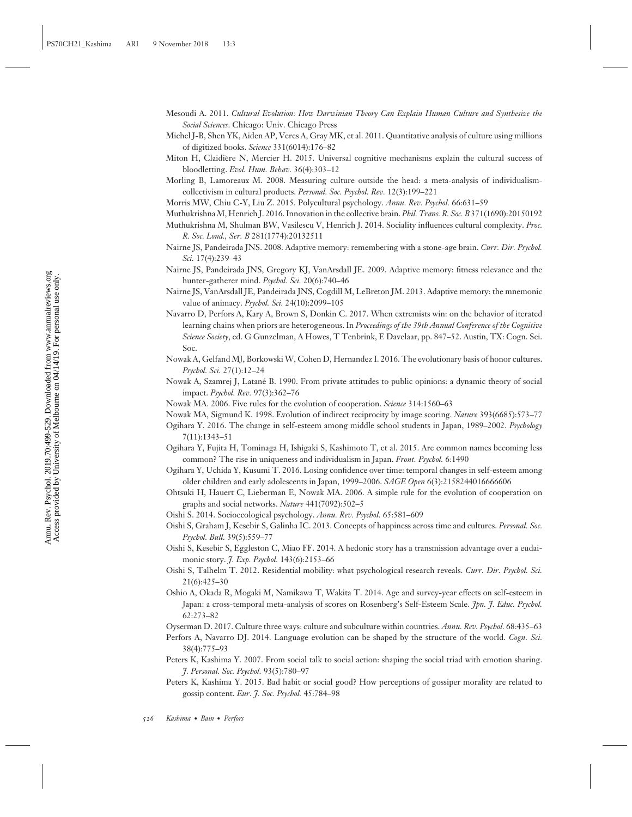- Mesoudi A. 2011. *Cultural Evolution: How Darwinian Theory Can Explain Human Culture and Synthesize the Social Sciences*. Chicago: Univ. Chicago Press
- Michel J-B, Shen YK, Aiden AP, Veres A, Gray MK, et al. 2011. Quantitative analysis of culture using millions of digitized books. *Science* 331(6014):176–82
- Miton H, Claidiere N, Mercier H. 2015. Universal cognitive mechanisms explain the cultural success of ` bloodletting. *Evol. Hum. Behav.* 36(4):303–12
- Morling B, Lamoreaux M. 2008. Measuring culture outside the head: a meta-analysis of individualismcollectivism in cultural products. *Personal. Soc. Psychol. Rev.* 12(3):199–221
- Morris MW, Chiu C-Y, Liu Z. 2015. Polycultural psychology. *Annu. Rev. Psychol.* 66:631–59
- Muthukrishna M, Henrich J. 2016. Innovation in the collective brain. *Phil. Trans. R. Soc. B* 371(1690):20150192

Muthukrishna M, Shulman BW, Vasilescu V, Henrich J. 2014. Sociality influences cultural complexity. *Proc. R. Soc. Lond., Ser. B* 281(1774):20132511

- Nairne JS, Pandeirada JNS. 2008. Adaptive memory: remembering with a stone-age brain. *Curr. Dir. Psychol. Sci.* 17(4):239–43
- Nairne JS, Pandeirada JNS, Gregory KJ, VanArsdall JE. 2009. Adaptive memory: fitness relevance and the hunter-gatherer mind. *Psychol. Sci.* 20(6):740–46
- Nairne JS, VanArsdall JE, Pandeirada JNS, Cogdill M, LeBreton JM. 2013. Adaptive memory: the mnemonic value of animacy. *Psychol. Sci.* 24(10):2099–105
- Navarro D, Perfors A, Kary A, Brown S, Donkin C. 2017. When extremists win: on the behavior of iterated learning chains when priors are heterogeneous. In *Proceedings of the 39th Annual Conference of the Cognitive Science Society*, ed. G Gunzelman, A Howes, T Tenbrink, E Davelaar, pp. 847–52. Austin, TX: Cogn. Sci. Soc.
- Nowak A, Gelfand MJ, Borkowski W, Cohen D, Hernandez I. 2016. The evolutionary basis of honor cultures. *Psychol. Sci.* 27(1):12–24
- Nowak A, Szamrej J, Latane B. 1990. From private attitudes to public opinions: a dynamic theory of social ´ impact. *Psychol. Rev.* 97(3):362–76
- Nowak MA. 2006. Five rules for the evolution of cooperation. *Science* 314:1560–63
- Nowak MA, Sigmund K. 1998. Evolution of indirect reciprocity by image scoring. *Nature* 393(6685):573–77
- Ogihara Y. 2016. The change in self-esteem among middle school students in Japan, 1989–2002. *Psychology* 7(11):1343–51
- Ogihara Y, Fujita H, Tominaga H, Ishigaki S, Kashimoto T, et al. 2015. Are common names becoming less common? The rise in uniqueness and individualism in Japan. *Front. Psychol.* 6:1490
- Ogihara Y, Uchida Y, Kusumi T. 2016. Losing confidence over time: temporal changes in self-esteem among older children and early adolescents in Japan, 1999–2006. *SAGE Open* 6(3):2158244016666606
- Ohtsuki H, Hauert C, Lieberman E, Nowak MA. 2006. A simple rule for the evolution of cooperation on graphs and social networks. *Nature* 441(7092):502–5
- Oishi S. 2014. Socioecological psychology. *Annu. Rev. Psychol.* 65:581–609
- Oishi S, Graham J, Kesebir S, Galinha IC. 2013. Concepts of happiness across time and cultures. *Personal. Soc. Psychol. Bull.* 39(5):559–77
- Oishi S, Kesebir S, Eggleston C, Miao FF. 2014. A hedonic story has a transmission advantage over a eudaimonic story. *J. Exp. Psychol.* 143(6):2153–66
- Oishi S, Talhelm T. 2012. Residential mobility: what psychological research reveals. *Curr. Dir. Psychol. Sci.* 21(6):425–30
- Oshio A, Okada R, Mogaki M, Namikawa T, Wakita T. 2014. Age and survey-year effects on self-esteem in Japan: a cross-temporal meta-analysis of scores on Rosenberg's Self-Esteem Scale. *Jpn. J. Educ. Psychol.* 62:273–82
- Oyserman D. 2017. Culture three ways: culture and subculture within countries. *Annu. Rev. Psychol.* 68:435–63
- Perfors A, Navarro DJ. 2014. Language evolution can be shaped by the structure of the world. *Cogn. Sci.* 38(4):775–93
- Peters K, Kashima Y. 2007. From social talk to social action: shaping the social triad with emotion sharing. *J. Personal. Soc. Psychol.* 93(5):780–97
- Peters K, Kashima Y. 2015. Bad habit or social good? How perceptions of gossiper morality are related to gossip content. *Eur. J. Soc. Psychol.* 45:784–98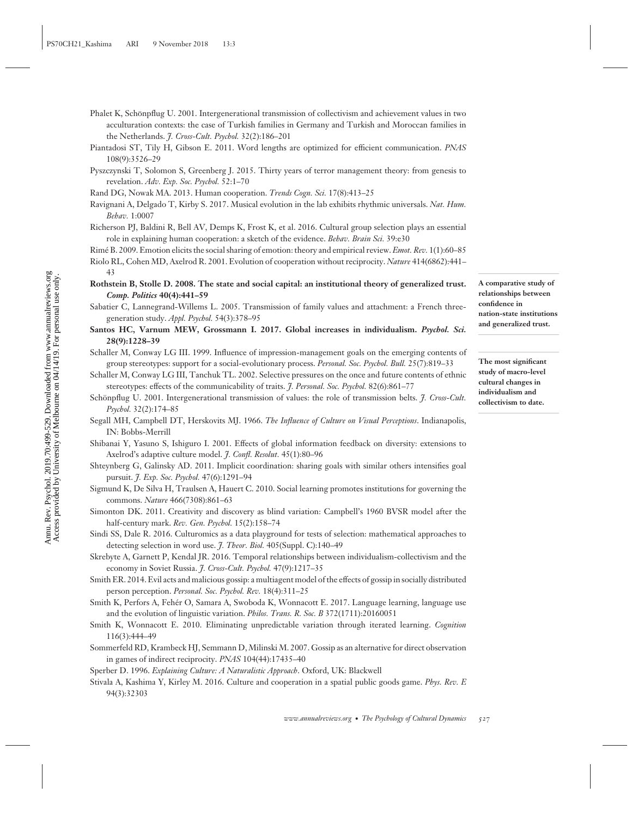- Phalet K, Schönpflug U. 2001. Intergenerational transmission of collectivism and achievement values in two acculturation contexts: the case of Turkish families in Germany and Turkish and Moroccan families in the Netherlands. *J. Cross-Cult. Psychol.* 32(2):186–201
- Piantadosi ST, Tily H, Gibson E. 2011. Word lengths are optimized for efficient communication. *PNAS* 108(9):3526–29
- Pyszczynski T, Solomon S, Greenberg J. 2015. Thirty years of terror management theory: from genesis to revelation. *Adv. Exp. Soc. Psychol.* 52:1–70

Rand DG, Nowak MA. 2013. Human cooperation. *Trends Cogn. Sci.* 17(8):413–25

- Ravignani A, Delgado T, Kirby S. 2017. Musical evolution in the lab exhibits rhythmic universals. *Nat. Hum. Behav.* 1:0007
- Richerson PJ, Baldini R, Bell AV, Demps K, Frost K, et al. 2016. Cultural group selection plays an essential role in explaining human cooperation: a sketch of the evidence. *Behav. Brain Sci.* 39:e30

Rimé B. 2009. Emotion elicits the social sharing of emotion: theory and empirical review. *Emot. Rev.* 1(1):60–85

- Riolo RL, Cohen MD, Axelrod R. 2001. Evolution of cooperation without reciprocity. *Nature* 414(6862):441– 43
- **Rothstein B, Stolle D. 2008. The state and social capital: an institutional theory of generalized trust.** *Comp. Politics* **40(4):441–59**
- Sabatier C, Lannegrand-Willems L. 2005. Transmission of family values and attachment: a French threegeneration study. *Appl. Psychol.* 54(3):378–95
- **Santos HC, Varnum MEW, Grossmann I. 2017. Global increases in individualism.** *Psychol. Sci.* **28(9):1228–39**
- Schaller M, Conway LG III. 1999. Influence of impression-management goals on the emerging contents of group stereotypes: support for a social-evolutionary process. *Personal. Soc. Psychol. Bull.* 25(7):819–33
- Schaller M, Conway LG III, Tanchuk TL. 2002. Selective pressures on the once and future contents of ethnic stereotypes: effects of the communicability of traits. *J. Personal. Soc. Psychol.* 82(6):861–77
- Schönpflug U. 2001. Intergenerational transmission of values: the role of transmission belts. *†. Cross-Cult. Psychol.* 32(2):174–85
- Segall MH, Campbell DT, Herskovits MJ. 1966. *The Influence of Culture on Visual Perceptions*. Indianapolis, IN: Bobbs-Merrill
- Shibanai Y, Yasuno S, Ishiguro I. 2001. Effects of global information feedback on diversity: extensions to Axelrod's adaptive culture model. *J. Confl. Resolut.* 45(1):80–96
- Shteynberg G, Galinsky AD. 2011. Implicit coordination: sharing goals with similar others intensifies goal pursuit. *J. Exp. Soc. Psychol.* 47(6):1291–94
- Sigmund K, De Silva H, Traulsen A, Hauert C. 2010. Social learning promotes institutions for governing the commons. *Nature* 466(7308):861–63
- Simonton DK. 2011. Creativity and discovery as blind variation: Campbell's 1960 BVSR model after the half-century mark. *Rev. Gen. Psychol.* 15(2):158–74
- Sindi SS, Dale R. 2016. Culturomics as a data playground for tests of selection: mathematical approaches to detecting selection in word use. *J. Theor. Biol.* 405(Suppl. C):140–49
- Skrebyte A, Garnett P, Kendal JR. 2016. Temporal relationships between individualism-collectivism and the economy in Soviet Russia. *J. Cross-Cult. Psychol.* 47(9):1217–35
- Smith ER. 2014. Evil acts and malicious gossip: a multiagent model of the effects of gossip in socially distributed person perception. *Personal. Soc. Psychol. Rev.* 18(4):311–25
- Smith K, Perfors A, Fehér O, Samara A, Swoboda K, Wonnacott E. 2017. Language learning, language use and the evolution of linguistic variation. *Philos. Trans. R. Soc. B* 372(1711):20160051
- Smith K, Wonnacott E. 2010. Eliminating unpredictable variation through iterated learning. *Cognition* 116(3):444–49
- Sommerfeld RD, Krambeck HJ, Semmann D, Milinski M. 2007. Gossip as an alternative for direct observation in games of indirect reciprocity. *PNAS* 104(44):17435–40

Sperber D. 1996. *Explaining Culture: A Naturalistic Approach*. Oxford, UK: Blackwell

Stivala A, Kashima Y, Kirley M. 2016. Culture and cooperation in a spatial public goods game. *Phys. Rev. E* 94(3):32303

**A comparative study of relationships between confidence in nation-state institutions and generalized trust.**

**The most significant study of macro-level cultural changes in individualism and collectivism to date.**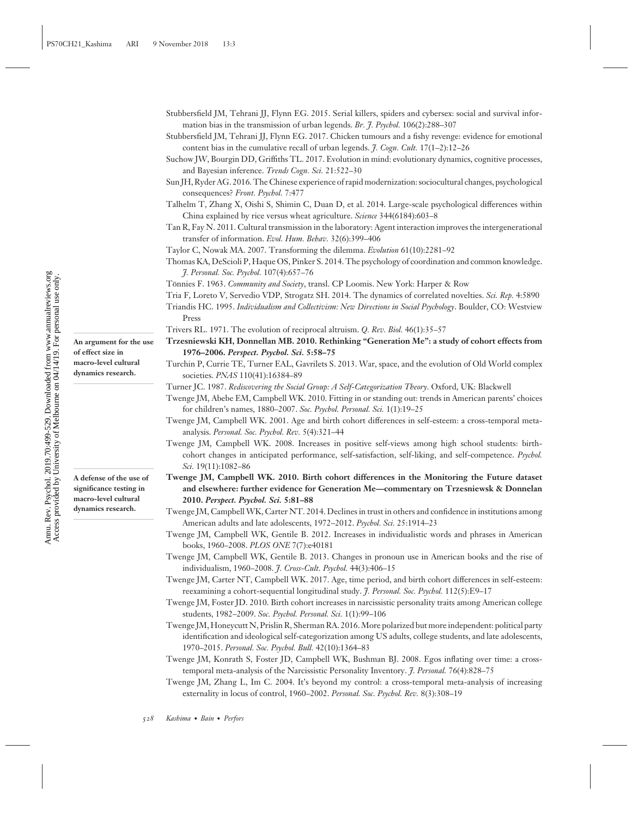**An argument for the use of effect size in macro-level cultural dynamics research.**

**A defense of the use of significance testing in macro-level cultural dynamics research.**

- Stubbersfield JM, Tehrani JJ, Flynn EG. 2015. Serial killers, spiders and cybersex: social and survival information bias in the transmission of urban legends. *Br. J. Psychol.* 106(2):288–307
- Stubbersfield JM, Tehrani JJ, Flynn EG. 2017. Chicken tumours and a fishy revenge: evidence for emotional content bias in the cumulative recall of urban legends. *J. Cogn. Cult.* 17(1–2):12–26
- Suchow JW, Bourgin DD, Griffiths TL. 2017. Evolution in mind: evolutionary dynamics, cognitive processes, and Bayesian inference. *Trends Cogn. Sci.* 21:522–30
- Sun JH, Ryder AG. 2016. The Chinese experience of rapid modernization: sociocultural changes, psychological consequences? *Front. Psychol.* 7:477
- Talhelm T, Zhang X, Oishi S, Shimin C, Duan D, et al. 2014. Large-scale psychological differences within China explained by rice versus wheat agriculture. *Science* 344(6184):603–8
- Tan R, Fay N. 2011. Cultural transmission in the laboratory: Agent interaction improves the intergenerational transfer of information. *Evol. Hum. Behav.* 32(6):399–406
- Taylor C, Nowak MA. 2007. Transforming the dilemma. *Evolution* 61(10):2281–92
- Thomas KA, DeScioli P, Haque OS, Pinker S. 2014. The psychology of coordination and common knowledge. *J. Personal. Soc. Psychol.* 107(4):657–76
- Tönnies F. 1963. Community and Society, transl. CP Loomis. New York: Harper & Row
- Tria F, Loreto V, Servedio VDP, Strogatz SH. 2014. The dynamics of correlated novelties. *Sci. Rep.* 4:5890
- Triandis HC. 1995. *Individualism and Collectivism: New Directions in Social Psychology*. Boulder, CO: Westview Press
- Trivers RL. 1971. The evolution of reciprocal altruism. *Q. Rev. Biol.* 46(1):35–57
- **Trzesniewski KH, Donnellan MB. 2010. Rethinking "Generation Me": a study of cohort effects from 1976–2006.** *Perspect. Psychol. Sci.* **5:58–75**
- Turchin P, Currie TE, Turner EAL, Gavrilets S. 2013. War, space, and the evolution of Old World complex societies. *PNAS* 110(41):16384–89
- Turner JC. 1987. *Rediscovering the Social Group: A Self-Categorization Theory*. Oxford, UK: Blackwell
- Twenge JM, Abebe EM, Campbell WK. 2010. Fitting in or standing out: trends in American parents' choices for children's names, 1880–2007. *Soc. Psychol. Personal. Sci.* 1(1):19–25
- Twenge JM, Campbell WK. 2001. Age and birth cohort differences in self-esteem: a cross-temporal metaanalysis. *Personal. Soc. Psychol. Rev.* 5(4):321–44
- Twenge JM, Campbell WK. 2008. Increases in positive self-views among high school students: birthcohort changes in anticipated performance, self-satisfaction, self-liking, and self-competence. *Psychol. Sci.* 19(11):1082–86
- **Twenge JM, Campbell WK. 2010. Birth cohort differences in the Monitoring the Future dataset and elsewhere: further evidence for Generation Me—commentary on Trzesniewsk & Donnelan 2010.** *Perspect. Psychol. Sci.* **5:81–88**
- Twenge JM, CampbellWK, Carter NT. 2014. Declines in trust in others and confidence in institutions among American adults and late adolescents, 1972–2012. *Psychol. Sci.* 25:1914–23
- Twenge JM, Campbell WK, Gentile B. 2012. Increases in individualistic words and phrases in American books, 1960–2008. *PLOS ONE* 7(7):e40181
- Twenge JM, Campbell WK, Gentile B. 2013. Changes in pronoun use in American books and the rise of individualism, 1960–2008. *J. Cross-Cult. Psychol.* 44(3):406–15
- Twenge JM, Carter NT, Campbell WK. 2017. Age, time period, and birth cohort differences in self-esteem: reexamining a cohort-sequential longitudinal study. *J. Personal. Soc. Psychol.* 112(5):E9–17
- Twenge JM, Foster JD. 2010. Birth cohort increases in narcissistic personality traits among American college students, 1982–2009. *Soc. Psychol. Personal. Sci.* 1(1):99–106
- Twenge JM, Honeycutt N, Prislin R, Sherman RA. 2016. More polarized but more independent: political party identification and ideological self-categorization among US adults, college students, and late adolescents, 1970–2015. *Personal. Soc. Psychol. Bull.* 42(10):1364–83
- Twenge JM, Konrath S, Foster JD, Campbell WK, Bushman BJ. 2008. Egos inflating over time: a crosstemporal meta-analysis of the Narcissistic Personality Inventory. *J. Personal.* 76(4):828–75
- Twenge JM, Zhang L, Im C. 2004. It's beyond my control: a cross-temporal meta-analysis of increasing externality in locus of control, 1960–2002. *Personal. Soc. Psychol. Rev.* 8(3):308–19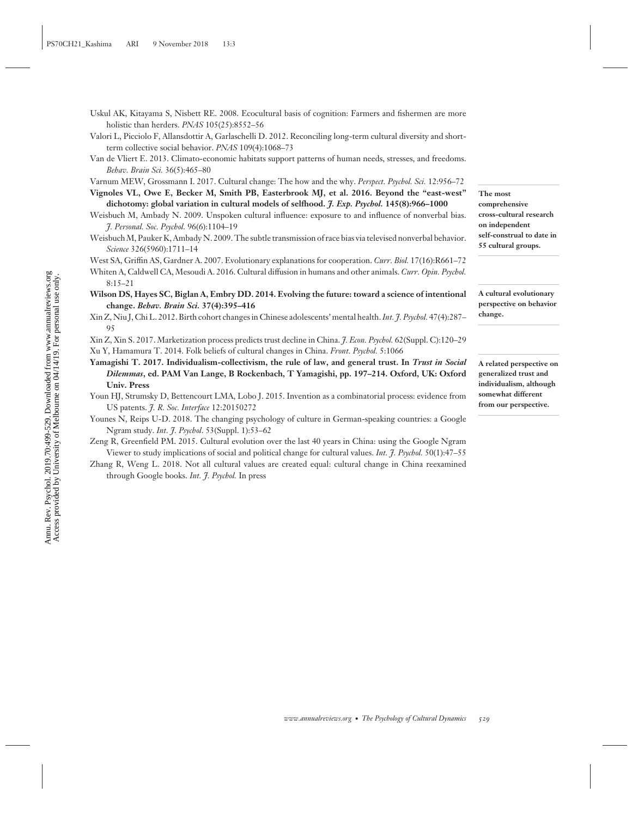- Uskul AK, Kitayama S, Nisbett RE. 2008. Ecocultural basis of cognition: Farmers and fishermen are more holistic than herders. *PNAS* 105(25):8552–56
- Valori L, Picciolo F, Allansdottir A, Garlaschelli D. 2012. Reconciling long-term cultural diversity and shortterm collective social behavior. *PNAS* 109(4):1068–73
- Van de Vliert E. 2013. Climato-economic habitats support patterns of human needs, stresses, and freedoms. *Behav. Brain Sci.* 36(5):465–80

Varnum MEW, Grossmann I. 2017. Cultural change: The how and the why. *Perspect. Psychol. Sci.* 12:956–72

WeisbuchM, Pauker K, Ambady N. 2009. The subtle transmission of race bias via televised nonverbal behavior. *Science* 326(5960):1711–14

West SA, Griffin AS, Gardner A. 2007. Evolutionary explanations for cooperation. *Curr. Biol.* 17(16):R661–72

- Whiten A, Caldwell CA, Mesoudi A. 2016. Cultural diffusion in humans and other animals. *Curr. Opin. Psychol.* 8:15–21
- **Wilson DS, Hayes SC, Biglan A, Embry DD. 2014. Evolving the future: toward a science of intentional change.** *Behav. Brain Sci.* **37(4):395–416**
- Xin Z, Niu J, Chi L. 2012. Birth cohort changes in Chinese adolescents' mental health.*Int. J. Psychol.* 47(4):287– 95
- Xin Z, Xin S. 2017. Marketization process predicts trust decline in China. *J. Econ. Psychol.* 62(Suppl. C):120–29
- Xu Y, Hamamura T. 2014. Folk beliefs of cultural changes in China. *Front. Psychol.* 5:1066
- **Yamagishi T. 2017. Individualism-collectivism, the rule of law, and general trust. In** *Trust in Social Dilemmas***, ed. PAM Van Lange, B Rockenbach, T Yamagishi, pp. 197–214. Oxford, UK: Oxford Univ. Press**
- Youn HJ, Strumsky D, Bettencourt LMA, Lobo J. 2015. Invention as a combinatorial process: evidence from US patents. *J. R. Soc. Interface* 12:20150272
- Younes N, Reips U-D. 2018. The changing psychology of culture in German-speaking countries: a Google Ngram study. *Int. J. Psychol*. 53(Suppl. 1):53–62
- Zeng R, Greenfield PM. 2015. Cultural evolution over the last 40 years in China: using the Google Ngram Viewer to study implications of social and political change for cultural values. *Int. J. Psychol.* 50(1):47–55
- Zhang R, Weng L. 2018. Not all cultural values are created equal: cultural change in China reexamined through Google books. *Int. J. Psychol.* In press

**The most comprehensive cross-cultural research on independent self-construal to date in 55 cultural groups.**

**A cultural evolutionary perspective on behavior change.**

**A related perspective on generalized trust and individualism, although somewhat different from our perspective.**

**Vignoles VL, Owe E, Becker M, Smith PB, Easterbrook MJ, et al. 2016. Beyond the "east-west" dichotomy: global variation in cultural models of selfhood.** *J. Exp. Psychol.* **145(8):966–1000**

Weisbuch M, Ambady N. 2009. Unspoken cultural influence: exposure to and influence of nonverbal bias. *J. Personal. Soc. Psychol.* 96(6):1104–19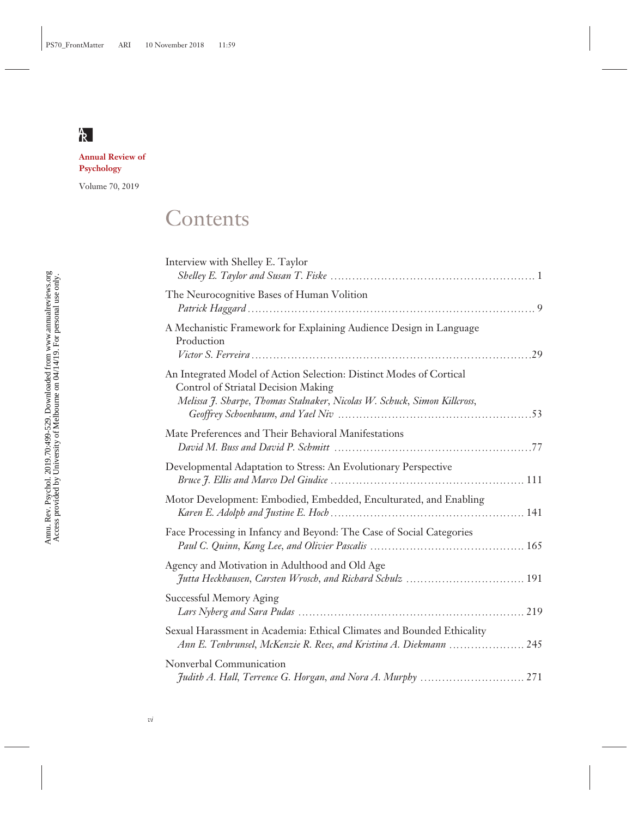**Annual Review of Psychology**

Volume 70, 2019

## **Contents**

| Interview with Shelley E. Taylor                                                                                                                                                       |
|----------------------------------------------------------------------------------------------------------------------------------------------------------------------------------------|
| The Neurocognitive Bases of Human Volition                                                                                                                                             |
| A Mechanistic Framework for Explaining Audience Design in Language<br>Production                                                                                                       |
| An Integrated Model of Action Selection: Distinct Modes of Cortical<br>Control of Striatal Decision Making<br>Melissa J. Sharpe, Thomas Stalnaker, Nicolas W. Schuck, Simon Killcross, |
| Mate Preferences and Their Behavioral Manifestations                                                                                                                                   |
| Developmental Adaptation to Stress: An Evolutionary Perspective                                                                                                                        |
| Motor Development: Embodied, Embedded, Enculturated, and Enabling                                                                                                                      |
| Face Processing in Infancy and Beyond: The Case of Social Categories                                                                                                                   |
| Agency and Motivation in Adulthood and Old Age<br>Jutta Heckhausen, Carsten Wrosch, and Richard Schulz  191                                                                            |
| Successful Memory Aging                                                                                                                                                                |
| Sexual Harassment in Academia: Ethical Climates and Bounded Ethicality<br>Ann E. Tenbrunsel, McKenzie R. Rees, and Kristina A. Diekmann  245                                           |
| Nonverbal Communication                                                                                                                                                                |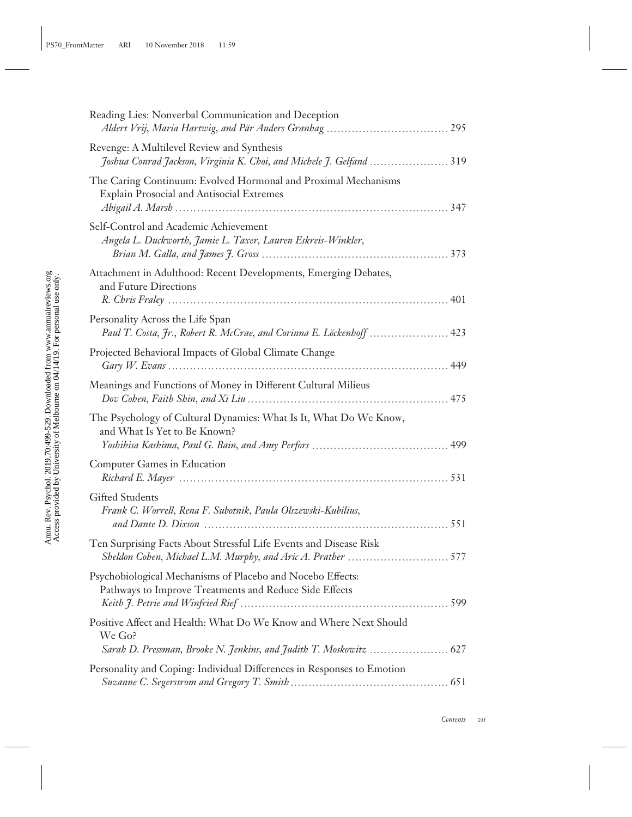| Reading Lies: Nonverbal Communication and Deception                                                                  |
|----------------------------------------------------------------------------------------------------------------------|
| Revenge: A Multilevel Review and Synthesis<br>Joshua Conrad Jackson, Virginia K. Choi, and Michele J. Gelfand  319   |
| The Caring Continuum: Evolved Hormonal and Proximal Mechanisms<br>Explain Prosocial and Antisocial Extremes          |
| Self-Control and Academic Achievement<br>Angela L. Duckworth, Jamie L. Taxer, Lauren Eskreis-Winkler,                |
| Attachment in Adulthood: Recent Developments, Emerging Debates,<br>and Future Directions                             |
| Personality Across the Life Span<br>Paul T. Costa, Jr., Robert R. McCrae, and Corinna E. Löckenhoff  423             |
| Projected Behavioral Impacts of Global Climate Change                                                                |
| Meanings and Functions of Money in Different Cultural Milieus                                                        |
| The Psychology of Cultural Dynamics: What Is It, What Do We Know,<br>and What Is Yet to Be Known?                    |
| <b>Computer Games in Education</b>                                                                                   |
| <b>Gifted Students</b><br>Frank C. Worrell, Rena F. Subotnik, Paula Olszewski-Kubilius,                              |
| Ten Surprising Facts About Stressful Life Events and Disease Risk                                                    |
| Psychobiological Mechanisms of Placebo and Nocebo Effects:<br>Pathways to Improve Treatments and Reduce Side Effects |
| Positive Affect and Health: What Do We Know and Where Next Should<br>We Go?                                          |
| Personality and Coping: Individual Differences in Responses to Emotion                                               |